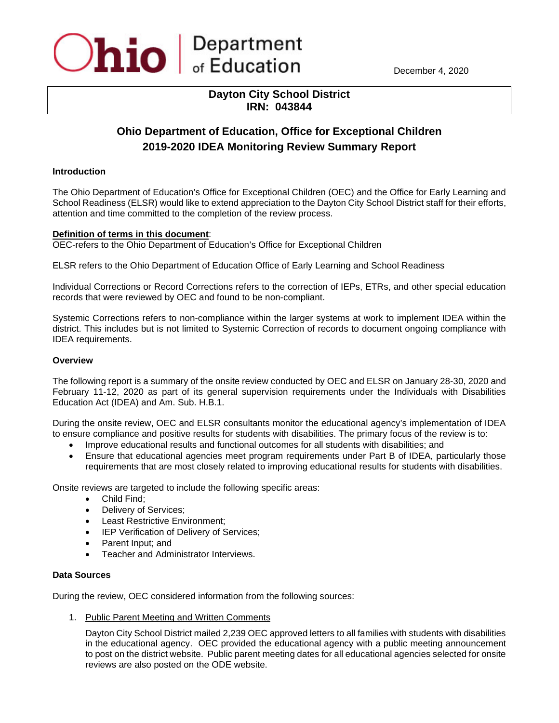

December 4, 2020

# **Dayton City School District IRN: 043844**

# **Ohio Department of Education, Office for Exceptional Children 2019-2020 IDEA Monitoring Review Summary Report**

## **Introduction**

The Ohio Department of Education's Office for Exceptional Children (OEC) and the Office for Early Learning and School Readiness (ELSR) would like to extend appreciation to the Dayton City School District staff for their efforts, attention and time committed to the completion of the review process.

### **Definition of terms in this document**:

OEC-refers to the Ohio Department of Education's Office for Exceptional Children

ELSR refers to the Ohio Department of Education Office of Early Learning and School Readiness

Individual Corrections or Record Corrections refers to the correction of IEPs, ETRs, and other special education records that were reviewed by OEC and found to be non-compliant.

Systemic Corrections refers to non-compliance within the larger systems at work to implement IDEA within the district. This includes but is not limited to Systemic Correction of records to document ongoing compliance with IDEA requirements.

#### **Overview**

The following report is a summary of the onsite review conducted by OEC and ELSR on January 28-30, 2020 and February 11-12, 2020 as part of its general supervision requirements under the Individuals with Disabilities Education Act (IDEA) and Am. Sub. H.B.1.

During the onsite review, OEC and ELSR consultants monitor the educational agency's implementation of IDEA to ensure compliance and positive results for students with disabilities. The primary focus of the review is to:

- Improve educational results and functional outcomes for all students with disabilities; and
- Ensure that educational agencies meet program requirements under Part B of IDEA, particularly those requirements that are most closely related to improving educational results for students with disabilities.

Onsite reviews are targeted to include the following specific areas:

- Child Find;
- Delivery of Services;
- Least Restrictive Environment;
- IEP Verification of Delivery of Services;
- Parent Input; and
- Teacher and Administrator Interviews.

### **Data Sources**

During the review, OEC considered information from the following sources:

1. Public Parent Meeting and Written Comments

Dayton City School District mailed 2,239 OEC approved letters to all families with students with disabilities in the educational agency. OEC provided the educational agency with a public meeting announcement to post on the district website. Public parent meeting dates for all educational agencies selected for onsite reviews are also posted on the ODE website.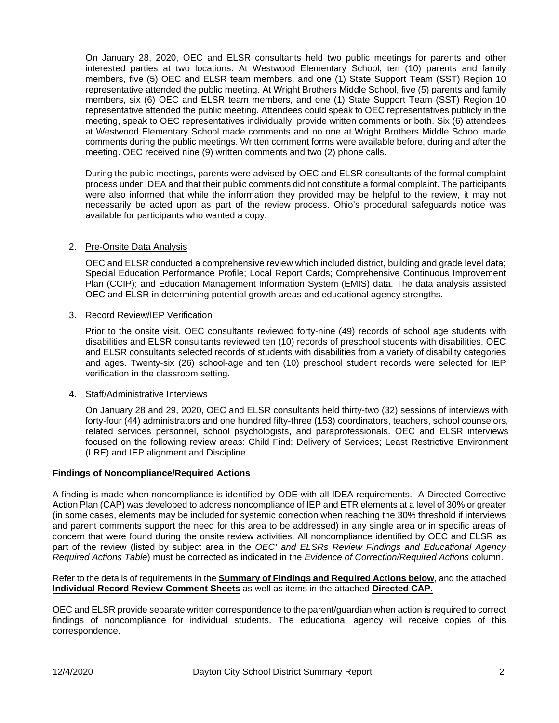On January 28, 2020, OEC and ELSR consultants held two public meetings for parents and other interested parties at two locations. At Westwood Elementary School, ten (10) parents and family members, five (5) OEC and ELSR team members, and one (1) State Support Team (SST) Region 10 representative attended the public meeting. At Wright Brothers Middle School, five (5) parents and family members, six (6) OEC and ELSR team members, and one (1) State Support Team (SST) Region 10 representative attended the public meeting. Attendees could speak to OEC representatives publicly in the meeting, speak to OEC representatives individually, provide written comments or both. Six (6) attendees at Westwood Elementary School made comments and no one at Wright Brothers Middle School made comments during the public meetings. Written comment forms were available before, during and after the meeting. OEC received nine (9) written comments and two (2) phone calls.

During the public meetings, parents were advised by OEC and ELSR consultants of the formal complaint process under IDEA and that their public comments did not constitute a formal complaint. The participants were also informed that while the information they provided may be helpful to the review, it may not necessarily be acted upon as part of the review process. Ohio's procedural safeguards notice was available for participants who wanted a copy.

## 2. Pre-Onsite Data Analysis

OEC and ELSR conducted a comprehensive review which included district, building and grade level data; Special Education Performance Profile; Local Report Cards; Comprehensive Continuous Improvement Plan (CCIP); and Education Management Information System (EMIS) data. The data analysis assisted OEC and ELSR in determining potential growth areas and educational agency strengths.

### 3. Record Review/IEP Verification

Prior to the onsite visit, OEC consultants reviewed forty-nine (49) records of school age students with disabilities and ELSR consultants reviewed ten (10) records of preschool students with disabilities. OEC and ELSR consultants selected records of students with disabilities from a variety of disability categories and ages. Twenty-six (26) school-age and ten (10) preschool student records were selected for IEP verification in the classroom setting.

### 4. Staff/Administrative Interviews

On January 28 and 29, 2020, OEC and ELSR consultants held thirty-two (32) sessions of interviews with forty-four (44) administrators and one hundred fifty-three (153) coordinators, teachers, school counselors, related services personnel, school psychologists, and paraprofessionals. OEC and ELSR interviews focused on the following review areas: Child Find; Delivery of Services; Least Restrictive Environment (LRE) and IEP alignment and Discipline.

### **Findings of Noncompliance/Required Actions**

A finding is made when noncompliance is identified by ODE with all IDEA requirements. A Directed Corrective Action Plan (CAP) was developed to address noncompliance of IEP and ETR elements at a level of 30% or greater (in some cases, elements may be included for systemic correction when reaching the 30% threshold if interviews and parent comments support the need for this area to be addressed) in any single area or in specific areas of concern that were found during the onsite review activities. All noncompliance identified by OEC and ELSR as part of the review (listed by subject area in the *OEC' and ELSRs Review Findings and Educational Agency Required Actions Table*) must be corrected as indicated in the *Evidence of Correction/Required Actions* column.

Refer to the details of requirements in the **Summary of Findings and Required Actions below**, and the attached **Individual Record Review Comment Sheets** as well as items in the attached **Directed CAP.**

OEC and ELSR provide separate written correspondence to the parent/guardian when action is required to correct findings of noncompliance for individual students. The educational agency will receive copies of this correspondence.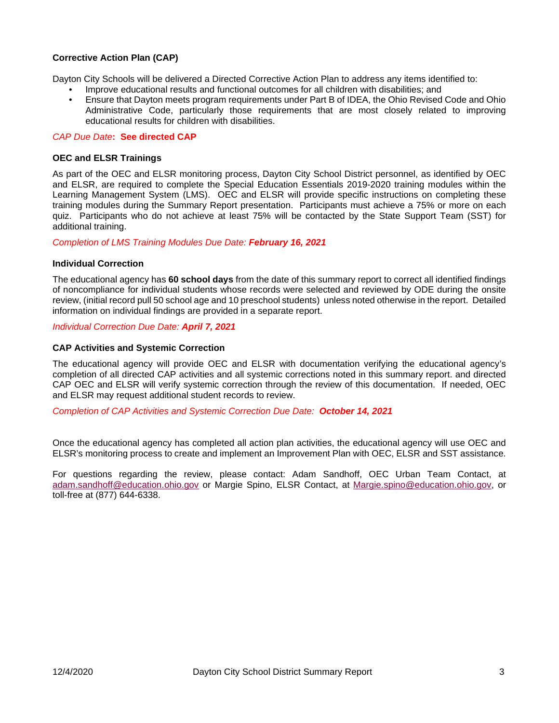# **Corrective Action Plan (CAP)**

Dayton City Schools will be delivered a Directed Corrective Action Plan to address any items identified to:

- Improve educational results and functional outcomes for all children with disabilities; and
- Ensure that Dayton meets program requirements under Part B of IDEA, the Ohio Revised Code and Ohio Administrative Code, particularly those requirements that are most closely related to improving educational results for children with disabilities.

#### *CAP Due Date***: See directed CAP**

#### **OEC and ELSR Trainings**

As part of the OEC and ELSR monitoring process, Dayton City School District personnel, as identified by OEC and ELSR, are required to complete the Special Education Essentials 2019-2020 training modules within the Learning Management System (LMS). OEC and ELSR will provide specific instructions on completing these training modules during the Summary Report presentation. Participants must achieve a 75% or more on each quiz. Participants who do not achieve at least 75% will be contacted by the State Support Team (SST) for additional training.

#### *Completion of LMS Training Modules Due Date: February 16, 2021*

#### **Individual Correction**

The educational agency has **60 school days** from the date of this summary report to correct all identified findings of noncompliance for individual students whose records were selected and reviewed by ODE during the onsite review, (initial record pull 50 school age and 10 preschool students) unless noted otherwise in the report. Detailed information on individual findings are provided in a separate report.

#### *Individual Correction Due Date: April 7, 2021*

#### **CAP Activities and Systemic Correction**

The educational agency will provide OEC and ELSR with documentation verifying the educational agency's completion of all directed CAP activities and all systemic corrections noted in this summary report. and directed CAP OEC and ELSR will verify systemic correction through the review of this documentation. If needed, OEC and ELSR may request additional student records to review.

*Completion of CAP Activities and Systemic Correction Due Date: October 14, 2021*

Once the educational agency has completed all action plan activities, the educational agency will use OEC and ELSR's monitoring process to create and implement an Improvement Plan with OEC, ELSR and SST assistance.

For questions regarding the review, please contact: Adam Sandhoff, OEC Urban Team Contact, at [adam.sandhoff@education.ohio.gov](mailto:adam.sandhoff@education.ohio.gov) or Margie Spino, ELSR Contact, at [Margie.spino@education.ohio.gov,](mailto:Margie.spino@education.ohio.gov) or toll-free at (877) 644-6338.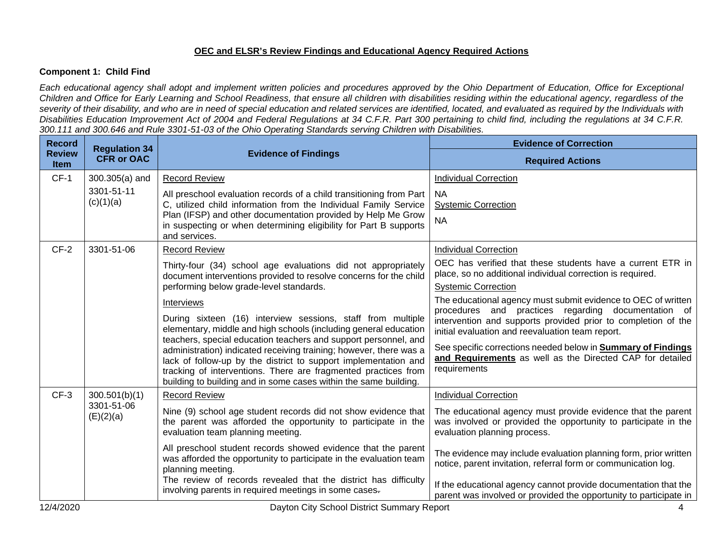# **OEC and ELSR's Review Findings and Educational Agency Required Actions**

## **Component 1: Child Find**

*Each educational agency shall adopt and implement written policies and procedures approved by the Ohio Department of Education, Office for Exceptional Children and Office for Early Learning and School Readiness, that ensure all children with disabilities residing within the educational agency, regardless of the severity of their disability, and who are in need of special education and related services are identified, located, and evaluated as required by the Individuals with Disabilities Education Improvement Act of 2004 and Federal Regulations at 34 C.F.R. Part 300 pertaining to child find, including the regulations at 34 C.F.R. 300.111 and 300.646 and Rule 3301-51-03 of the Ohio Operating Standards serving Children with Disabilities.* 

| <b>Record</b>                | <b>Regulation 34</b>    |                                                                                                                                                                                                                                                                                                                                                                                                                                                                                                        | <b>Evidence of Correction</b>                                                                                                                                                                                                                                                                                                                                                                 |
|------------------------------|-------------------------|--------------------------------------------------------------------------------------------------------------------------------------------------------------------------------------------------------------------------------------------------------------------------------------------------------------------------------------------------------------------------------------------------------------------------------------------------------------------------------------------------------|-----------------------------------------------------------------------------------------------------------------------------------------------------------------------------------------------------------------------------------------------------------------------------------------------------------------------------------------------------------------------------------------------|
| <b>Review</b><br><b>Item</b> | <b>CFR or OAC</b>       | <b>Evidence of Findings</b>                                                                                                                                                                                                                                                                                                                                                                                                                                                                            | <b>Required Actions</b>                                                                                                                                                                                                                                                                                                                                                                       |
| $CF-1$                       | 300.305(a) and          | <b>Record Review</b>                                                                                                                                                                                                                                                                                                                                                                                                                                                                                   | <b>Individual Correction</b>                                                                                                                                                                                                                                                                                                                                                                  |
|                              | 3301-51-11<br>(c)(1)(a) | All preschool evaluation records of a child transitioning from Part<br>C, utilized child information from the Individual Family Service<br>Plan (IFSP) and other documentation provided by Help Me Grow<br>in suspecting or when determining eligibility for Part B supports<br>and services.                                                                                                                                                                                                          | <b>NA</b><br><b>Systemic Correction</b><br><b>NA</b>                                                                                                                                                                                                                                                                                                                                          |
| $CF-2$                       | 3301-51-06              | <b>Record Review</b>                                                                                                                                                                                                                                                                                                                                                                                                                                                                                   | <b>Individual Correction</b>                                                                                                                                                                                                                                                                                                                                                                  |
|                              |                         | Thirty-four (34) school age evaluations did not appropriately<br>document interventions provided to resolve concerns for the child                                                                                                                                                                                                                                                                                                                                                                     | OEC has verified that these students have a current ETR in<br>place, so no additional individual correction is required.                                                                                                                                                                                                                                                                      |
|                              |                         | performing below grade-level standards.                                                                                                                                                                                                                                                                                                                                                                                                                                                                | <b>Systemic Correction</b>                                                                                                                                                                                                                                                                                                                                                                    |
|                              |                         | <b>Interviews</b><br>During sixteen (16) interview sessions, staff from multiple<br>elementary, middle and high schools (including general education<br>teachers, special education teachers and support personnel, and<br>administration) indicated receiving training; however, there was a<br>lack of follow-up by the district to support implementation and<br>tracking of interventions. There are fragmented practices from<br>building to building and in some cases within the same building. | The educational agency must submit evidence to OEC of written<br>procedures and practices regarding documentation of<br>intervention and supports provided prior to completion of the<br>initial evaluation and reevaluation team report.<br>See specific corrections needed below in <b>Summary of Findings</b><br>and Requirements as well as the Directed CAP for detailed<br>requirements |
| $CF-3$                       | 300.501(b)(1)           | <b>Record Review</b>                                                                                                                                                                                                                                                                                                                                                                                                                                                                                   | <b>Individual Correction</b>                                                                                                                                                                                                                                                                                                                                                                  |
|                              | 3301-51-06<br>(E)(2)(a) | Nine (9) school age student records did not show evidence that<br>the parent was afforded the opportunity to participate in the<br>evaluation team planning meeting.                                                                                                                                                                                                                                                                                                                                   | The educational agency must provide evidence that the parent<br>was involved or provided the opportunity to participate in the<br>evaluation planning process.                                                                                                                                                                                                                                |
|                              |                         | All preschool student records showed evidence that the parent<br>was afforded the opportunity to participate in the evaluation team<br>planning meeting.                                                                                                                                                                                                                                                                                                                                               | The evidence may include evaluation planning form, prior written<br>notice, parent invitation, referral form or communication log.                                                                                                                                                                                                                                                            |
|                              |                         | The review of records revealed that the district has difficulty<br>involving parents in required meetings in some cases.                                                                                                                                                                                                                                                                                                                                                                               | If the educational agency cannot provide documentation that the<br>parent was involved or provided the opportunity to participate in                                                                                                                                                                                                                                                          |
| 12/4/2020                    |                         | Dayton City School District Summary Report                                                                                                                                                                                                                                                                                                                                                                                                                                                             |                                                                                                                                                                                                                                                                                                                                                                                               |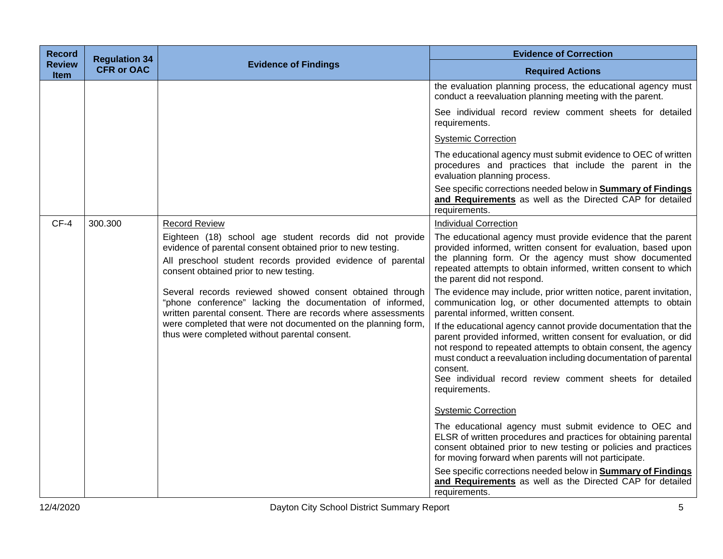| <b>Record</b>                | <b>Regulation 34</b> |                                                                                                                                                                                                                                  | <b>Evidence of Correction</b>                                                                                                                                                                                                                                                                                                                                     |
|------------------------------|----------------------|----------------------------------------------------------------------------------------------------------------------------------------------------------------------------------------------------------------------------------|-------------------------------------------------------------------------------------------------------------------------------------------------------------------------------------------------------------------------------------------------------------------------------------------------------------------------------------------------------------------|
| <b>Review</b><br><b>Item</b> | <b>CFR or OAC</b>    | <b>Evidence of Findings</b>                                                                                                                                                                                                      | <b>Required Actions</b>                                                                                                                                                                                                                                                                                                                                           |
|                              |                      |                                                                                                                                                                                                                                  | the evaluation planning process, the educational agency must<br>conduct a reevaluation planning meeting with the parent.                                                                                                                                                                                                                                          |
|                              |                      |                                                                                                                                                                                                                                  | See individual record review comment sheets for detailed<br>requirements.                                                                                                                                                                                                                                                                                         |
|                              |                      |                                                                                                                                                                                                                                  | <b>Systemic Correction</b>                                                                                                                                                                                                                                                                                                                                        |
|                              |                      |                                                                                                                                                                                                                                  | The educational agency must submit evidence to OEC of written<br>procedures and practices that include the parent in the<br>evaluation planning process.                                                                                                                                                                                                          |
|                              |                      |                                                                                                                                                                                                                                  | See specific corrections needed below in <b>Summary of Findings</b><br>and Requirements as well as the Directed CAP for detailed<br>requirements.                                                                                                                                                                                                                 |
| $CF-4$                       | 300.300              | <b>Record Review</b>                                                                                                                                                                                                             | <b>Individual Correction</b>                                                                                                                                                                                                                                                                                                                                      |
|                              |                      | Eighteen (18) school age student records did not provide<br>evidence of parental consent obtained prior to new testing.<br>All preschool student records provided evidence of parental<br>consent obtained prior to new testing. | The educational agency must provide evidence that the parent<br>provided informed, written consent for evaluation, based upon<br>the planning form. Or the agency must show documented<br>repeated attempts to obtain informed, written consent to which<br>the parent did not respond.                                                                           |
|                              |                      | Several records reviewed showed consent obtained through<br>"phone conference" lacking the documentation of informed,<br>written parental consent. There are records where assessments                                           | The evidence may include, prior written notice, parent invitation,<br>communication log, or other documented attempts to obtain<br>parental informed, written consent.                                                                                                                                                                                            |
|                              |                      | were completed that were not documented on the planning form,<br>thus were completed without parental consent.                                                                                                                   | If the educational agency cannot provide documentation that the<br>parent provided informed, written consent for evaluation, or did<br>not respond to repeated attempts to obtain consent, the agency<br>must conduct a reevaluation including documentation of parental<br>consent.<br>See individual record review comment sheets for detailed<br>requirements. |
|                              |                      |                                                                                                                                                                                                                                  | <b>Systemic Correction</b>                                                                                                                                                                                                                                                                                                                                        |
|                              |                      |                                                                                                                                                                                                                                  | The educational agency must submit evidence to OEC and<br>ELSR of written procedures and practices for obtaining parental<br>consent obtained prior to new testing or policies and practices<br>for moving forward when parents will not participate.                                                                                                             |
|                              |                      |                                                                                                                                                                                                                                  | See specific corrections needed below in <b>Summary of Findings</b><br>and Requirements as well as the Directed CAP for detailed<br>requirements.                                                                                                                                                                                                                 |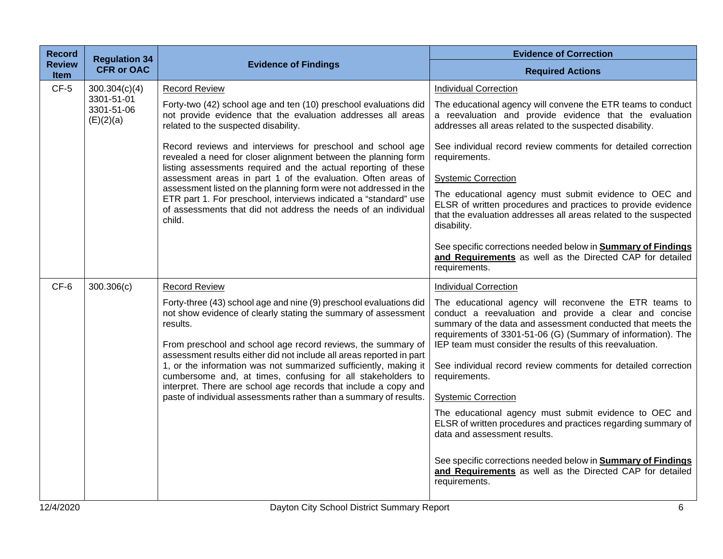| <b>Record</b>         | <b>Regulation 34</b>                  |                                                                                                                                                                                                                                                                                                                                                              | <b>Evidence of Correction</b>                                                                                                                                                                                                                                                                                                                                                |
|-----------------------|---------------------------------------|--------------------------------------------------------------------------------------------------------------------------------------------------------------------------------------------------------------------------------------------------------------------------------------------------------------------------------------------------------------|------------------------------------------------------------------------------------------------------------------------------------------------------------------------------------------------------------------------------------------------------------------------------------------------------------------------------------------------------------------------------|
| <b>Review</b><br>Item | <b>CFR or OAC</b>                     | <b>Evidence of Findings</b>                                                                                                                                                                                                                                                                                                                                  | <b>Required Actions</b>                                                                                                                                                                                                                                                                                                                                                      |
| $CF-5$                | 300.304(c)(4)                         | <b>Record Review</b>                                                                                                                                                                                                                                                                                                                                         | <b>Individual Correction</b>                                                                                                                                                                                                                                                                                                                                                 |
|                       | 3301-51-01<br>3301-51-06<br>(E)(2)(a) | Forty-two (42) school age and ten (10) preschool evaluations did<br>not provide evidence that the evaluation addresses all areas<br>related to the suspected disability.                                                                                                                                                                                     | The educational agency will convene the ETR teams to conduct<br>a reevaluation and provide evidence that the evaluation<br>addresses all areas related to the suspected disability.                                                                                                                                                                                          |
|                       |                                       | Record reviews and interviews for preschool and school age<br>revealed a need for closer alignment between the planning form<br>listing assessments required and the actual reporting of these                                                                                                                                                               | See individual record review comments for detailed correction<br>requirements.                                                                                                                                                                                                                                                                                               |
|                       |                                       | assessment areas in part 1 of the evaluation. Often areas of                                                                                                                                                                                                                                                                                                 | <b>Systemic Correction</b>                                                                                                                                                                                                                                                                                                                                                   |
|                       |                                       | assessment listed on the planning form were not addressed in the<br>ETR part 1. For preschool, interviews indicated a "standard" use<br>of assessments that did not address the needs of an individual<br>child.                                                                                                                                             | The educational agency must submit evidence to OEC and<br>ELSR of written procedures and practices to provide evidence<br>that the evaluation addresses all areas related to the suspected<br>disability.                                                                                                                                                                    |
|                       |                                       |                                                                                                                                                                                                                                                                                                                                                              | See specific corrections needed below in <b>Summary of Findings</b><br>and Requirements as well as the Directed CAP for detailed<br>requirements.                                                                                                                                                                                                                            |
| CF-6                  | 300.306(c)                            | <b>Record Review</b>                                                                                                                                                                                                                                                                                                                                         | <b>Individual Correction</b>                                                                                                                                                                                                                                                                                                                                                 |
|                       |                                       | Forty-three (43) school age and nine (9) preschool evaluations did<br>not show evidence of clearly stating the summary of assessment<br>results.<br>From preschool and school age record reviews, the summary of<br>assessment results either did not include all areas reported in part<br>1, or the information was not summarized sufficiently, making it | The educational agency will reconvene the ETR teams to<br>conduct a reevaluation and provide a clear and concise<br>summary of the data and assessment conducted that meets the<br>requirements of 3301-51-06 (G) (Summary of information). The<br>IEP team must consider the results of this reevaluation.<br>See individual record review comments for detailed correction |
|                       |                                       | cumbersome and, at times, confusing for all stakeholders to<br>interpret. There are school age records that include a copy and                                                                                                                                                                                                                               | requirements.                                                                                                                                                                                                                                                                                                                                                                |
|                       |                                       | paste of individual assessments rather than a summary of results.                                                                                                                                                                                                                                                                                            | <b>Systemic Correction</b>                                                                                                                                                                                                                                                                                                                                                   |
|                       |                                       |                                                                                                                                                                                                                                                                                                                                                              | The educational agency must submit evidence to OEC and<br>ELSR of written procedures and practices regarding summary of<br>data and assessment results.                                                                                                                                                                                                                      |
|                       |                                       |                                                                                                                                                                                                                                                                                                                                                              | See specific corrections needed below in <b>Summary of Findings</b><br>and Requirements as well as the Directed CAP for detailed<br>requirements.                                                                                                                                                                                                                            |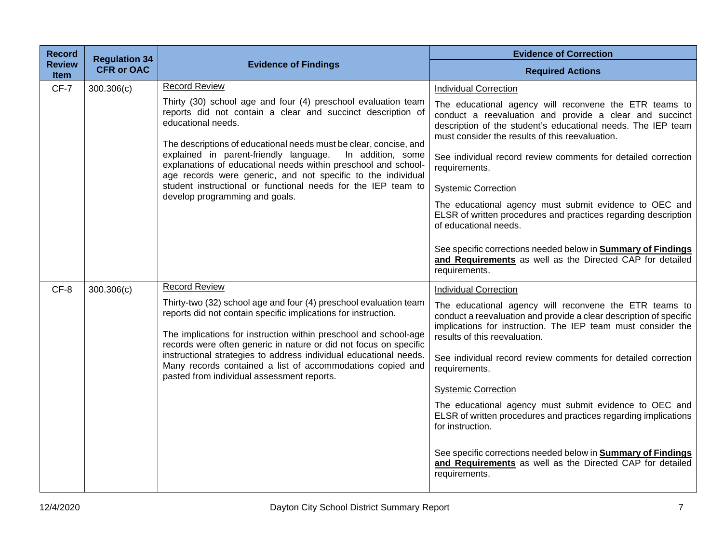| <b>Record</b>                | <b>Regulation 34</b> |                                                                                                                                                                                                                                                                                                                                                                                                                                                                                                                                                     | <b>Evidence of Correction</b>                                                                                                                                                                                                                                                                                                                                                                                                                                                                                                                                                                                                                                                                  |
|------------------------------|----------------------|-----------------------------------------------------------------------------------------------------------------------------------------------------------------------------------------------------------------------------------------------------------------------------------------------------------------------------------------------------------------------------------------------------------------------------------------------------------------------------------------------------------------------------------------------------|------------------------------------------------------------------------------------------------------------------------------------------------------------------------------------------------------------------------------------------------------------------------------------------------------------------------------------------------------------------------------------------------------------------------------------------------------------------------------------------------------------------------------------------------------------------------------------------------------------------------------------------------------------------------------------------------|
| <b>Review</b><br><b>Item</b> | <b>CFR or OAC</b>    | <b>Evidence of Findings</b>                                                                                                                                                                                                                                                                                                                                                                                                                                                                                                                         | <b>Required Actions</b>                                                                                                                                                                                                                                                                                                                                                                                                                                                                                                                                                                                                                                                                        |
| $CF-7$                       | 300.306(c)           | <b>Record Review</b><br>Thirty (30) school age and four (4) preschool evaluation team<br>reports did not contain a clear and succinct description of<br>educational needs.<br>The descriptions of educational needs must be clear, concise, and<br>explained in parent-friendly language.<br>In addition, some<br>explanations of educational needs within preschool and school-<br>age records were generic, and not specific to the individual<br>student instructional or functional needs for the IEP team to<br>develop programming and goals. | <b>Individual Correction</b><br>The educational agency will reconvene the ETR teams to<br>conduct a reevaluation and provide a clear and succinct<br>description of the student's educational needs. The IEP team<br>must consider the results of this reevaluation.<br>See individual record review comments for detailed correction<br>requirements.<br><b>Systemic Correction</b><br>The educational agency must submit evidence to OEC and<br>ELSR of written procedures and practices regarding description<br>of educational needs.<br>See specific corrections needed below in <b>Summary of Findings</b><br>and Requirements as well as the Directed CAP for detailed<br>requirements. |
| CF-8                         | 300.306(c)           | <b>Record Review</b><br>Thirty-two (32) school age and four (4) preschool evaluation team<br>reports did not contain specific implications for instruction.<br>The implications for instruction within preschool and school-age<br>records were often generic in nature or did not focus on specific<br>instructional strategies to address individual educational needs.<br>Many records contained a list of accommodations copied and<br>pasted from individual assessment reports.                                                               | <b>Individual Correction</b><br>The educational agency will reconvene the ETR teams to<br>conduct a reevaluation and provide a clear description of specific<br>implications for instruction. The IEP team must consider the<br>results of this reevaluation.<br>See individual record review comments for detailed correction<br>requirements.<br><b>Systemic Correction</b><br>The educational agency must submit evidence to OEC and<br>ELSR of written procedures and practices regarding implications<br>for instruction.<br>See specific corrections needed below in Summary of Findings<br>and Requirements as well as the Directed CAP for detailed<br>requirements.                   |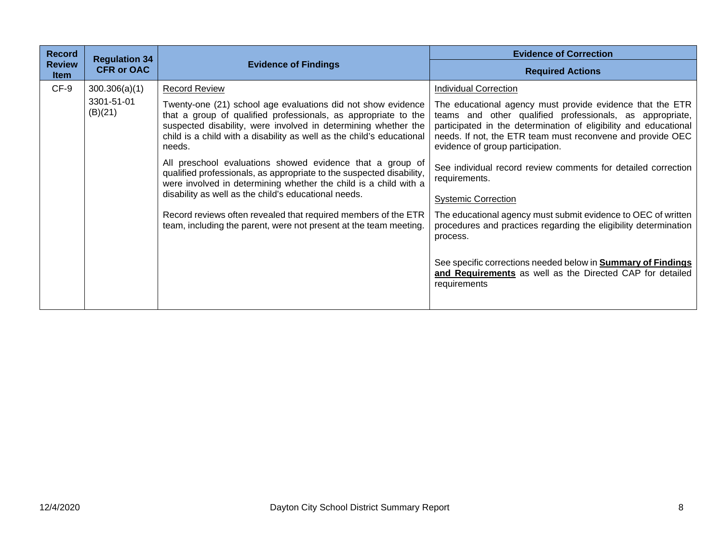| <b>Record</b><br><b>Review</b> | <b>Regulation 34</b>  | <b>Evidence of Findings</b>                                                                                                                                                                                                                                                         | <b>Evidence of Correction</b>                                                                                                                                                                                                                                                               |
|--------------------------------|-----------------------|-------------------------------------------------------------------------------------------------------------------------------------------------------------------------------------------------------------------------------------------------------------------------------------|---------------------------------------------------------------------------------------------------------------------------------------------------------------------------------------------------------------------------------------------------------------------------------------------|
| <b>Item</b>                    | <b>CFR or OAC</b>     |                                                                                                                                                                                                                                                                                     | <b>Required Actions</b>                                                                                                                                                                                                                                                                     |
| $CF-9$                         | 300.306(a)(1)         | <b>Record Review</b>                                                                                                                                                                                                                                                                | <b>Individual Correction</b>                                                                                                                                                                                                                                                                |
|                                | 3301-51-01<br>(B)(21) | Twenty-one (21) school age evaluations did not show evidence<br>that a group of qualified professionals, as appropriate to the<br>suspected disability, were involved in determining whether the<br>child is a child with a disability as well as the child's educational<br>needs. | The educational agency must provide evidence that the ETR<br>teams and other qualified professionals, as appropriate,<br>participated in the determination of eligibility and educational<br>needs. If not, the ETR team must reconvene and provide OEC<br>evidence of group participation. |
|                                |                       | All preschool evaluations showed evidence that a group of<br>qualified professionals, as appropriate to the suspected disability,<br>were involved in determining whether the child is a child with a<br>disability as well as the child's educational needs.                       | See individual record review comments for detailed correction<br>requirements.                                                                                                                                                                                                              |
|                                |                       |                                                                                                                                                                                                                                                                                     | <b>Systemic Correction</b>                                                                                                                                                                                                                                                                  |
|                                |                       | Record reviews often revealed that required members of the ETR<br>team, including the parent, were not present at the team meeting.                                                                                                                                                 | The educational agency must submit evidence to OEC of written<br>procedures and practices regarding the eligibility determination<br>process.                                                                                                                                               |
|                                |                       |                                                                                                                                                                                                                                                                                     | See specific corrections needed below in <b>Summary of Findings</b><br>and Requirements as well as the Directed CAP for detailed<br>requirements                                                                                                                                            |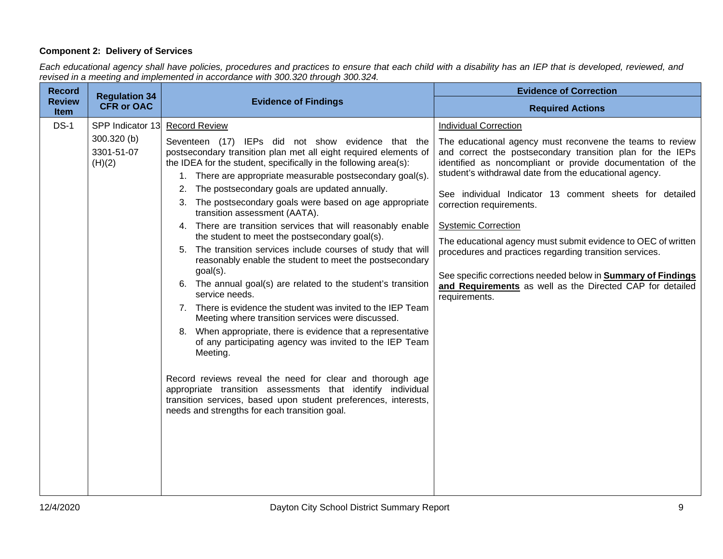# **Component 2: Delivery of Services**

*Each educational agency shall have policies, procedures and practices to ensure that each child with a disability has an IEP that is developed, reviewed, and revised in a meeting and implemented in accordance with 300.320 through 300.324.*

|                                     |                                                                                                                                                                                                                                              | <b>Evidence of Correction</b>                                                                                                                                                                                                                   |
|-------------------------------------|----------------------------------------------------------------------------------------------------------------------------------------------------------------------------------------------------------------------------------------------|-------------------------------------------------------------------------------------------------------------------------------------------------------------------------------------------------------------------------------------------------|
| <b>CFR or OAC</b>                   |                                                                                                                                                                                                                                              | <b>Required Actions</b>                                                                                                                                                                                                                         |
|                                     | <b>Record Review</b>                                                                                                                                                                                                                         | <b>Individual Correction</b>                                                                                                                                                                                                                    |
| 300.320 (b)<br>3301-51-07<br>(H)(2) | Seventeen (17) IEPs did not show evidence that the<br>postsecondary transition plan met all eight required elements of<br>the IDEA for the student, specifically in the following area(s):                                                   | The educational agency must reconvene the teams to review<br>and correct the postsecondary transition plan for the IEPs<br>identified as noncompliant or provide documentation of the<br>student's withdrawal date from the educational agency. |
|                                     | The postsecondary goals are updated annually.<br>The postsecondary goals were based on age appropriate<br>3.<br>transition assessment (AATA).                                                                                                | See individual Indicator 13 comment sheets for detailed<br>correction requirements.                                                                                                                                                             |
|                                     | 4. There are transition services that will reasonably enable                                                                                                                                                                                 | <b>Systemic Correction</b>                                                                                                                                                                                                                      |
|                                     | The transition services include courses of study that will<br>5.<br>reasonably enable the student to meet the postsecondary                                                                                                                  | The educational agency must submit evidence to OEC of written<br>procedures and practices regarding transition services.                                                                                                                        |
|                                     | 6. The annual goal(s) are related to the student's transition<br>service needs.                                                                                                                                                              | See specific corrections needed below in <b>Summary of Findings</b><br>and Requirements as well as the Directed CAP for detailed<br>requirements.                                                                                               |
|                                     | Meeting where transition services were discussed.                                                                                                                                                                                            |                                                                                                                                                                                                                                                 |
|                                     | When appropriate, there is evidence that a representative<br>8.<br>of any participating agency was invited to the IEP Team<br>Meeting.                                                                                                       |                                                                                                                                                                                                                                                 |
|                                     | Record reviews reveal the need for clear and thorough age<br>appropriate transition assessments that identify individual<br>transition services, based upon student preferences, interests,<br>needs and strengths for each transition goal. |                                                                                                                                                                                                                                                 |
|                                     | <b>Regulation 34</b>                                                                                                                                                                                                                         | <b>Evidence of Findings</b><br>SPP Indicator 13<br>1. There are appropriate measurable postsecondary goal(s).<br>the student to meet the postsecondary goal(s).<br>$goal(s)$ .<br>7. There is evidence the student was invited to the IEP Team  |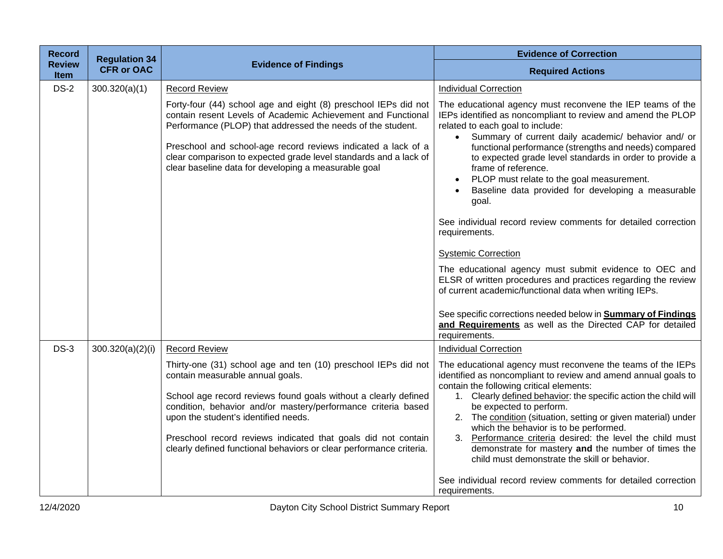| <b>Record</b>                | <b>Regulation 34</b> |                                                                                                                                                                                                                                                                                                                                                                                                                        | <b>Evidence of Correction</b>                                                                                                                                                                                                                                                                                                                                                                                                                                                                                                                                                                                                                                                                                                                                                                                                                                                                                                                       |
|------------------------------|----------------------|------------------------------------------------------------------------------------------------------------------------------------------------------------------------------------------------------------------------------------------------------------------------------------------------------------------------------------------------------------------------------------------------------------------------|-----------------------------------------------------------------------------------------------------------------------------------------------------------------------------------------------------------------------------------------------------------------------------------------------------------------------------------------------------------------------------------------------------------------------------------------------------------------------------------------------------------------------------------------------------------------------------------------------------------------------------------------------------------------------------------------------------------------------------------------------------------------------------------------------------------------------------------------------------------------------------------------------------------------------------------------------------|
| <b>Review</b><br><b>Item</b> | <b>CFR or OAC</b>    | <b>Evidence of Findings</b>                                                                                                                                                                                                                                                                                                                                                                                            | <b>Required Actions</b>                                                                                                                                                                                                                                                                                                                                                                                                                                                                                                                                                                                                                                                                                                                                                                                                                                                                                                                             |
| $DS-2$                       | 300.320(a)(1)        | <b>Record Review</b>                                                                                                                                                                                                                                                                                                                                                                                                   | <b>Individual Correction</b>                                                                                                                                                                                                                                                                                                                                                                                                                                                                                                                                                                                                                                                                                                                                                                                                                                                                                                                        |
|                              |                      | Forty-four (44) school age and eight (8) preschool IEPs did not<br>contain resent Levels of Academic Achievement and Functional<br>Performance (PLOP) that addressed the needs of the student.<br>Preschool and school-age record reviews indicated a lack of a<br>clear comparison to expected grade level standards and a lack of<br>clear baseline data for developing a measurable goal                            | The educational agency must reconvene the IEP teams of the<br>IEPs identified as noncompliant to review and amend the PLOP<br>related to each goal to include:<br>Summary of current daily academic/ behavior and/ or<br>$\bullet$<br>functional performance (strengths and needs) compared<br>to expected grade level standards in order to provide a<br>frame of reference.<br>PLOP must relate to the goal measurement.<br>Baseline data provided for developing a measurable<br>goal.<br>See individual record review comments for detailed correction<br>requirements.<br><b>Systemic Correction</b><br>The educational agency must submit evidence to OEC and<br>ELSR of written procedures and practices regarding the review<br>of current academic/functional data when writing IEPs.<br>See specific corrections needed below in <b>Summary of Findings</b><br>and Requirements as well as the Directed CAP for detailed<br>requirements. |
| $DS-3$                       | 300.320(a)(2)(i)     | <b>Record Review</b>                                                                                                                                                                                                                                                                                                                                                                                                   | <b>Individual Correction</b>                                                                                                                                                                                                                                                                                                                                                                                                                                                                                                                                                                                                                                                                                                                                                                                                                                                                                                                        |
|                              |                      | Thirty-one (31) school age and ten (10) preschool IEPs did not<br>contain measurable annual goals.<br>School age record reviews found goals without a clearly defined<br>condition, behavior and/or mastery/performance criteria based<br>upon the student's identified needs.<br>Preschool record reviews indicated that goals did not contain<br>clearly defined functional behaviors or clear performance criteria. | The educational agency must reconvene the teams of the IEPs<br>identified as noncompliant to review and amend annual goals to<br>contain the following critical elements:<br>1. Clearly defined behavior: the specific action the child will<br>be expected to perform.<br>2. The condition (situation, setting or given material) under<br>which the behavior is to be performed.<br>3. Performance criteria desired: the level the child must<br>demonstrate for mastery and the number of times the<br>child must demonstrate the skill or behavior.<br>See individual record review comments for detailed correction<br>requirements.                                                                                                                                                                                                                                                                                                           |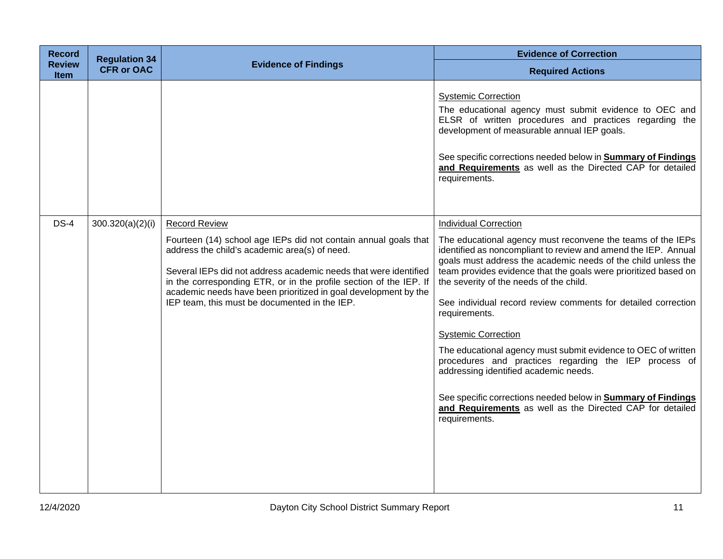| <b>Record</b>                | <b>Regulation 34</b> |                                                                                                                                                                                                                                                                                                                                                                                                        | <b>Evidence of Correction</b>                                                                                                                                                                                                                                                                                                                                                                                                                                                                                                                                                                                                                                                                                                                                                        |
|------------------------------|----------------------|--------------------------------------------------------------------------------------------------------------------------------------------------------------------------------------------------------------------------------------------------------------------------------------------------------------------------------------------------------------------------------------------------------|--------------------------------------------------------------------------------------------------------------------------------------------------------------------------------------------------------------------------------------------------------------------------------------------------------------------------------------------------------------------------------------------------------------------------------------------------------------------------------------------------------------------------------------------------------------------------------------------------------------------------------------------------------------------------------------------------------------------------------------------------------------------------------------|
| <b>Review</b><br><b>Item</b> | <b>CFR or OAC</b>    | <b>Evidence of Findings</b>                                                                                                                                                                                                                                                                                                                                                                            | <b>Required Actions</b>                                                                                                                                                                                                                                                                                                                                                                                                                                                                                                                                                                                                                                                                                                                                                              |
|                              |                      |                                                                                                                                                                                                                                                                                                                                                                                                        | <b>Systemic Correction</b><br>The educational agency must submit evidence to OEC and<br>ELSR of written procedures and practices regarding the<br>development of measurable annual IEP goals.<br>See specific corrections needed below in <b>Summary of Findings</b><br>and Requirements as well as the Directed CAP for detailed<br>requirements.                                                                                                                                                                                                                                                                                                                                                                                                                                   |
| $DS-4$                       | 300.320(a)(2)(i)     | <b>Record Review</b><br>Fourteen (14) school age IEPs did not contain annual goals that<br>address the child's academic area(s) of need.<br>Several IEPs did not address academic needs that were identified<br>in the corresponding ETR, or in the profile section of the IEP. If<br>academic needs have been prioritized in goal development by the<br>IEP team, this must be documented in the IEP. | <b>Individual Correction</b><br>The educational agency must reconvene the teams of the IEPs<br>identified as noncompliant to review and amend the IEP. Annual<br>goals must address the academic needs of the child unless the<br>team provides evidence that the goals were prioritized based on<br>the severity of the needs of the child.<br>See individual record review comments for detailed correction<br>requirements.<br><b>Systemic Correction</b><br>The educational agency must submit evidence to OEC of written<br>procedures and practices regarding the IEP process of<br>addressing identified academic needs.<br>See specific corrections needed below in <b>Summary of Findings</b><br>and Requirements as well as the Directed CAP for detailed<br>requirements. |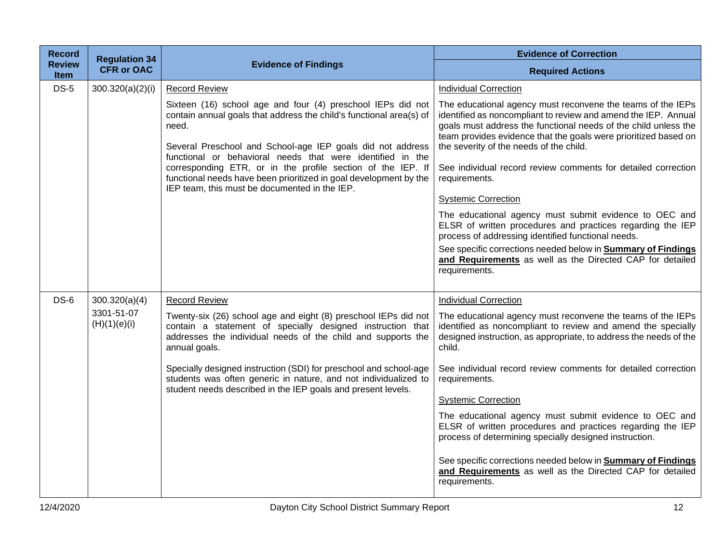| <b>Record</b>         | <b>Regulation 34</b>       |                                                                                                                                                                                                                                                                                                                                                                                                                                                              | <b>Evidence of Correction</b>                                                                                                                                                                                                                                                                                                                                                                                                                                                                                                                                                                                                                                                                                                                                     |
|-----------------------|----------------------------|--------------------------------------------------------------------------------------------------------------------------------------------------------------------------------------------------------------------------------------------------------------------------------------------------------------------------------------------------------------------------------------------------------------------------------------------------------------|-------------------------------------------------------------------------------------------------------------------------------------------------------------------------------------------------------------------------------------------------------------------------------------------------------------------------------------------------------------------------------------------------------------------------------------------------------------------------------------------------------------------------------------------------------------------------------------------------------------------------------------------------------------------------------------------------------------------------------------------------------------------|
| <b>Review</b><br>Item | <b>CFR or OAC</b>          | <b>Evidence of Findings</b>                                                                                                                                                                                                                                                                                                                                                                                                                                  | <b>Required Actions</b>                                                                                                                                                                                                                                                                                                                                                                                                                                                                                                                                                                                                                                                                                                                                           |
| $DS-5$                | 300.320(a)(2)(i)           | <b>Record Review</b>                                                                                                                                                                                                                                                                                                                                                                                                                                         | <b>Individual Correction</b>                                                                                                                                                                                                                                                                                                                                                                                                                                                                                                                                                                                                                                                                                                                                      |
|                       |                            | Sixteen (16) school age and four (4) preschool IEPs did not<br>contain annual goals that address the child's functional area(s) of<br>need.<br>Several Preschool and School-age IEP goals did not address<br>functional or behavioral needs that were identified in the<br>corresponding ETR, or in the profile section of the IEP. If<br>functional needs have been prioritized in goal development by the<br>IEP team, this must be documented in the IEP. | The educational agency must reconvene the teams of the IEPs<br>identified as noncompliant to review and amend the IEP. Annual<br>goals must address the functional needs of the child unless the<br>team provides evidence that the goals were prioritized based on<br>the severity of the needs of the child.<br>See individual record review comments for detailed correction<br>requirements.<br><b>Systemic Correction</b><br>The educational agency must submit evidence to OEC and<br>ELSR of written procedures and practices regarding the IEP<br>process of addressing identified functional needs.<br>See specific corrections needed below in <b>Summary of Findings</b><br>and Requirements as well as the Directed CAP for detailed<br>requirements. |
| $DS-6$                | 300.320(a)(4)              | <b>Record Review</b>                                                                                                                                                                                                                                                                                                                                                                                                                                         | <b>Individual Correction</b>                                                                                                                                                                                                                                                                                                                                                                                                                                                                                                                                                                                                                                                                                                                                      |
|                       | 3301-51-07<br>(H)(1)(e)(i) | Twenty-six (26) school age and eight (8) preschool IEPs did not<br>contain a statement of specially designed instruction that<br>addresses the individual needs of the child and supports the<br>annual goals.                                                                                                                                                                                                                                               | The educational agency must reconvene the teams of the IEPs<br>identified as noncompliant to review and amend the specially<br>designed instruction, as appropriate, to address the needs of the<br>child.                                                                                                                                                                                                                                                                                                                                                                                                                                                                                                                                                        |
|                       |                            | Specially designed instruction (SDI) for preschool and school-age<br>students was often generic in nature, and not individualized to<br>student needs described in the IEP goals and present levels.                                                                                                                                                                                                                                                         | See individual record review comments for detailed correction<br>requirements.                                                                                                                                                                                                                                                                                                                                                                                                                                                                                                                                                                                                                                                                                    |
|                       |                            |                                                                                                                                                                                                                                                                                                                                                                                                                                                              | <b>Systemic Correction</b>                                                                                                                                                                                                                                                                                                                                                                                                                                                                                                                                                                                                                                                                                                                                        |
|                       |                            |                                                                                                                                                                                                                                                                                                                                                                                                                                                              | The educational agency must submit evidence to OEC and<br>ELSR of written procedures and practices regarding the IEP<br>process of determining specially designed instruction.                                                                                                                                                                                                                                                                                                                                                                                                                                                                                                                                                                                    |
|                       |                            |                                                                                                                                                                                                                                                                                                                                                                                                                                                              | See specific corrections needed below in <b>Summary of Findings</b><br>and Requirements as well as the Directed CAP for detailed<br>requirements.                                                                                                                                                                                                                                                                                                                                                                                                                                                                                                                                                                                                                 |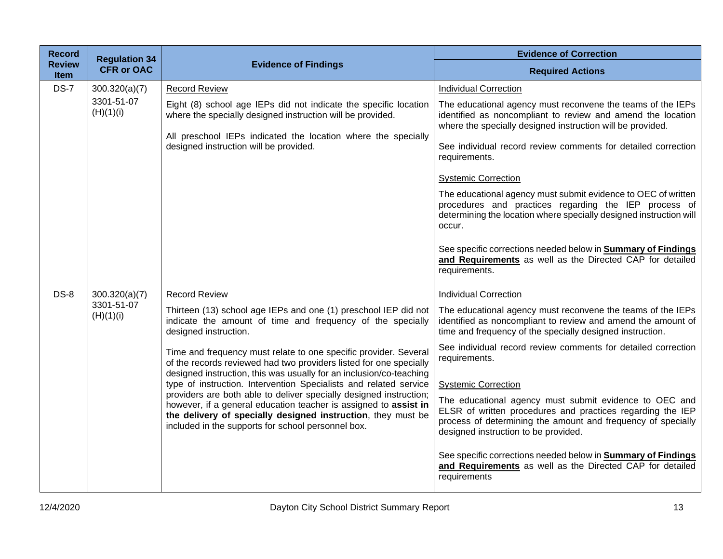| <b>Record</b>                | <b>Regulation 34</b>                     |                                                                                                                                                                                                                                                                                                                                                                                                                                                                                                                                                                                                                                                                                                                                      | <b>Evidence of Correction</b>                                                                                                                                                                                                                                                                                                                                                                                                                                                                                                                                                                                                                                                                                                |
|------------------------------|------------------------------------------|--------------------------------------------------------------------------------------------------------------------------------------------------------------------------------------------------------------------------------------------------------------------------------------------------------------------------------------------------------------------------------------------------------------------------------------------------------------------------------------------------------------------------------------------------------------------------------------------------------------------------------------------------------------------------------------------------------------------------------------|------------------------------------------------------------------------------------------------------------------------------------------------------------------------------------------------------------------------------------------------------------------------------------------------------------------------------------------------------------------------------------------------------------------------------------------------------------------------------------------------------------------------------------------------------------------------------------------------------------------------------------------------------------------------------------------------------------------------------|
| <b>Review</b><br><b>Item</b> | <b>CFR or OAC</b>                        | <b>Evidence of Findings</b>                                                                                                                                                                                                                                                                                                                                                                                                                                                                                                                                                                                                                                                                                                          | <b>Required Actions</b>                                                                                                                                                                                                                                                                                                                                                                                                                                                                                                                                                                                                                                                                                                      |
| <b>DS-7</b>                  | 300.320(a)(7)<br>3301-51-07<br>(H)(1)(i) | <b>Record Review</b><br>Eight (8) school age IEPs did not indicate the specific location<br>where the specially designed instruction will be provided.<br>All preschool IEPs indicated the location where the specially<br>designed instruction will be provided.                                                                                                                                                                                                                                                                                                                                                                                                                                                                    | <b>Individual Correction</b><br>The educational agency must reconvene the teams of the IEPs<br>identified as noncompliant to review and amend the location<br>where the specially designed instruction will be provided.<br>See individual record review comments for detailed correction<br>requirements.<br><b>Systemic Correction</b><br>The educational agency must submit evidence to OEC of written<br>procedures and practices regarding the IEP process of<br>determining the location where specially designed instruction will<br>occur.<br>See specific corrections needed below in <b>Summary of Findings</b><br>and Requirements as well as the Directed CAP for detailed<br>requirements.                      |
| $DS-8$                       | 300.320(a)(7)<br>3301-51-07<br>(H)(1)(i) | <b>Record Review</b><br>Thirteen (13) school age IEPs and one (1) preschool IEP did not<br>indicate the amount of time and frequency of the specially<br>designed instruction.<br>Time and frequency must relate to one specific provider. Several<br>of the records reviewed had two providers listed for one specially<br>designed instruction, this was usually for an inclusion/co-teaching<br>type of instruction. Intervention Specialists and related service<br>providers are both able to deliver specially designed instruction;<br>however, if a general education teacher is assigned to assist in<br>the delivery of specially designed instruction, they must be<br>included in the supports for school personnel box. | <b>Individual Correction</b><br>The educational agency must reconvene the teams of the IEPs<br>identified as noncompliant to review and amend the amount of<br>time and frequency of the specially designed instruction.<br>See individual record review comments for detailed correction<br>requirements.<br><b>Systemic Correction</b><br>The educational agency must submit evidence to OEC and<br>ELSR of written procedures and practices regarding the IEP<br>process of determining the amount and frequency of specially<br>designed instruction to be provided.<br>See specific corrections needed below in <b>Summary of Findings</b><br>and Requirements as well as the Directed CAP for detailed<br>requirements |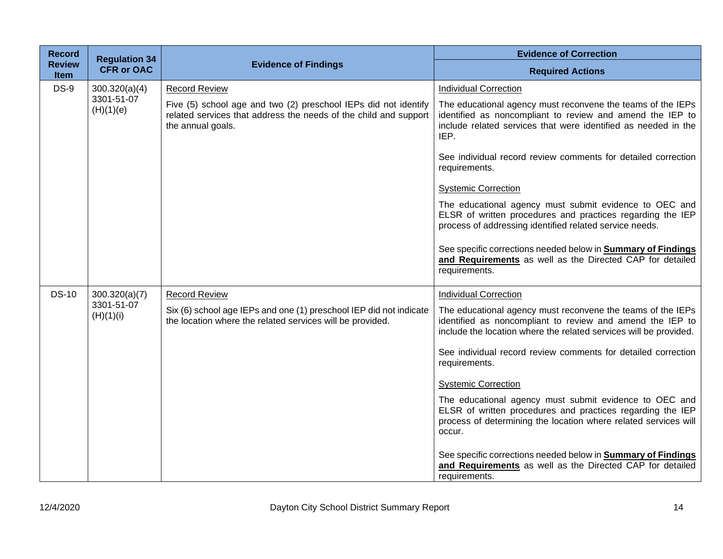| <b>Record</b>                | <b>Regulation 34</b>    |                                                                                                                                                          | <b>Evidence of Correction</b>                                                                                                                                                                      |
|------------------------------|-------------------------|----------------------------------------------------------------------------------------------------------------------------------------------------------|----------------------------------------------------------------------------------------------------------------------------------------------------------------------------------------------------|
| <b>Review</b><br><b>Item</b> | <b>CFR or OAC</b>       | <b>Evidence of Findings</b>                                                                                                                              | <b>Required Actions</b>                                                                                                                                                                            |
| <b>DS-9</b>                  | 300.320(a)(4)           | <b>Record Review</b>                                                                                                                                     | <b>Individual Correction</b>                                                                                                                                                                       |
|                              | 3301-51-07<br>(H)(1)(e) | Five (5) school age and two (2) preschool IEPs did not identify<br>related services that address the needs of the child and support<br>the annual goals. | The educational agency must reconvene the teams of the IEPs<br>identified as noncompliant to review and amend the IEP to<br>include related services that were identified as needed in the<br>IEP. |
|                              |                         |                                                                                                                                                          | See individual record review comments for detailed correction<br>requirements.                                                                                                                     |
|                              |                         |                                                                                                                                                          | <b>Systemic Correction</b>                                                                                                                                                                         |
|                              |                         |                                                                                                                                                          | The educational agency must submit evidence to OEC and<br>ELSR of written procedures and practices regarding the IEP<br>process of addressing identified related service needs.                    |
|                              |                         |                                                                                                                                                          | See specific corrections needed below in <b>Summary of Findings</b><br>and Requirements as well as the Directed CAP for detailed<br>requirements.                                                  |
| <b>DS-10</b>                 | 300.320(a)(7)           | <b>Record Review</b>                                                                                                                                     | <b>Individual Correction</b>                                                                                                                                                                       |
|                              | 3301-51-07<br>(H)(1)(i) | Six (6) school age IEPs and one (1) preschool IEP did not indicate<br>the location where the related services will be provided.                          | The educational agency must reconvene the teams of the IEPs<br>identified as noncompliant to review and amend the IEP to<br>include the location where the related services will be provided.      |
|                              |                         |                                                                                                                                                          | See individual record review comments for detailed correction<br>requirements.                                                                                                                     |
|                              |                         |                                                                                                                                                          | <b>Systemic Correction</b>                                                                                                                                                                         |
|                              |                         |                                                                                                                                                          | The educational agency must submit evidence to OEC and<br>ELSR of written procedures and practices regarding the IEP<br>process of determining the location where related services will<br>occur.  |
|                              |                         |                                                                                                                                                          | See specific corrections needed below in <b>Summary of Findings</b><br>and Requirements as well as the Directed CAP for detailed<br>requirements.                                                  |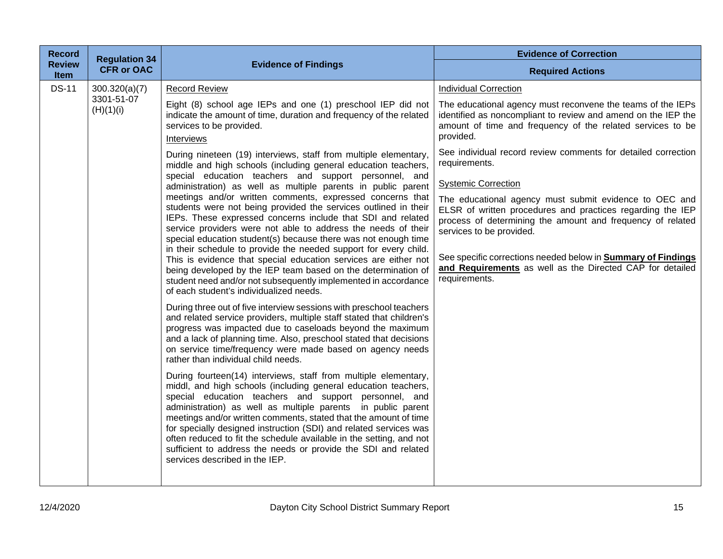| <b>Record</b>                                                                                     |                                                                                                                                                                                                                                                                                                                                                                                                                                                                                                                                                                                                                                                                                                                                                                                                                                                                                                                                                                                                                                                                                                               | <b>Evidence of Correction</b>                                                                                                                                                                                                                                                                                                                                                                                                                                                                                                                                                                                                                                                                                                  |
|---------------------------------------------------------------------------------------------------|---------------------------------------------------------------------------------------------------------------------------------------------------------------------------------------------------------------------------------------------------------------------------------------------------------------------------------------------------------------------------------------------------------------------------------------------------------------------------------------------------------------------------------------------------------------------------------------------------------------------------------------------------------------------------------------------------------------------------------------------------------------------------------------------------------------------------------------------------------------------------------------------------------------------------------------------------------------------------------------------------------------------------------------------------------------------------------------------------------------|--------------------------------------------------------------------------------------------------------------------------------------------------------------------------------------------------------------------------------------------------------------------------------------------------------------------------------------------------------------------------------------------------------------------------------------------------------------------------------------------------------------------------------------------------------------------------------------------------------------------------------------------------------------------------------------------------------------------------------|
| <b>CFR or OAC</b><br><b>Item</b>                                                                  |                                                                                                                                                                                                                                                                                                                                                                                                                                                                                                                                                                                                                                                                                                                                                                                                                                                                                                                                                                                                                                                                                                               | <b>Required Actions</b>                                                                                                                                                                                                                                                                                                                                                                                                                                                                                                                                                                                                                                                                                                        |
| <b>Regulation 34</b><br><b>Review</b><br><b>DS-11</b><br>300.320(a)(7)<br>3301-51-07<br>(H)(1)(i) | <b>Evidence of Findings</b><br><b>Record Review</b><br>Eight (8) school age IEPs and one (1) preschool IEP did not<br>indicate the amount of time, duration and frequency of the related<br>services to be provided.<br>Interviews<br>During nineteen (19) interviews, staff from multiple elementary,<br>middle and high schools (including general education teachers,<br>special education teachers and support personnel, and<br>administration) as well as multiple parents in public parent<br>meetings and/or written comments, expressed concerns that<br>students were not being provided the services outlined in their<br>IEPs. These expressed concerns include that SDI and related<br>service providers were not able to address the needs of their<br>special education student(s) because there was not enough time<br>in their schedule to provide the needed support for every child.<br>This is evidence that special education services are either not<br>being developed by the IEP team based on the determination of<br>student need and/or not subsequently implemented in accordance | <b>Individual Correction</b><br>The educational agency must reconvene the teams of the IEPs<br>identified as noncompliant to review and amend on the IEP the<br>amount of time and frequency of the related services to be<br>provided.<br>See individual record review comments for detailed correction<br>requirements.<br><b>Systemic Correction</b><br>The educational agency must submit evidence to OEC and<br>ELSR of written procedures and practices regarding the IEP<br>process of determining the amount and frequency of related<br>services to be provided.<br>See specific corrections needed below in <b>Summary of Findings</b><br>and Requirements as well as the Directed CAP for detailed<br>requirements. |
|                                                                                                   | of each student's individualized needs.<br>During three out of five interview sessions with preschool teachers<br>and related service providers, multiple staff stated that children's<br>progress was impacted due to caseloads beyond the maximum<br>and a lack of planning time. Also, preschool stated that decisions<br>on service time/frequency were made based on agency needs<br>rather than individual child needs.<br>During fourteen(14) interviews, staff from multiple elementary,<br>middl, and high schools (including general education teachers,<br>special education teachers and support personnel, and<br>administration) as well as multiple parents in public parent<br>meetings and/or written comments, stated that the amount of time<br>for specially designed instruction (SDI) and related services was<br>often reduced to fit the schedule available in the setting, and not<br>sufficient to address the needs or provide the SDI and related<br>services described in the IEP.                                                                                               |                                                                                                                                                                                                                                                                                                                                                                                                                                                                                                                                                                                                                                                                                                                                |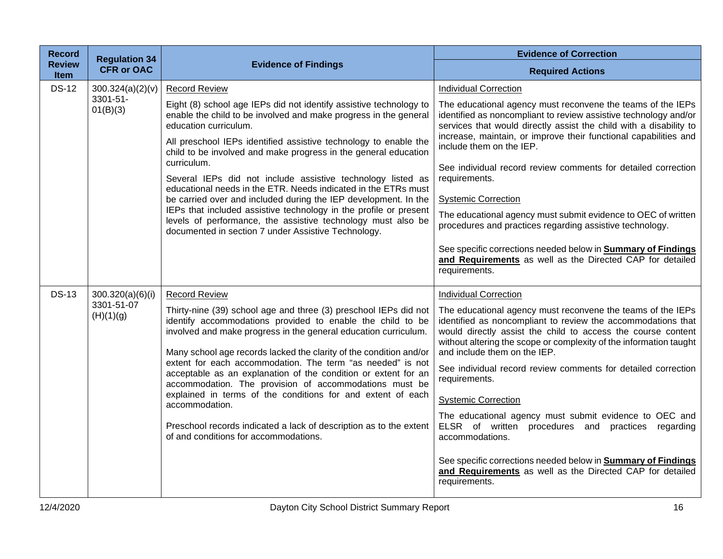| <b>Record</b>                | <b>Regulation 34</b><br><b>CFR or OAC</b>   | <b>Evidence of Findings</b>                                                                                                                                                                                                                                                                                                                                                                                                                                                                                                                                                                                                                                                                                                                   | <b>Evidence of Correction</b>                                                                                                                                                                                                                                                                                                                                                                                                                                                                                                                                                                                                                                                                                                             |
|------------------------------|---------------------------------------------|-----------------------------------------------------------------------------------------------------------------------------------------------------------------------------------------------------------------------------------------------------------------------------------------------------------------------------------------------------------------------------------------------------------------------------------------------------------------------------------------------------------------------------------------------------------------------------------------------------------------------------------------------------------------------------------------------------------------------------------------------|-------------------------------------------------------------------------------------------------------------------------------------------------------------------------------------------------------------------------------------------------------------------------------------------------------------------------------------------------------------------------------------------------------------------------------------------------------------------------------------------------------------------------------------------------------------------------------------------------------------------------------------------------------------------------------------------------------------------------------------------|
| <b>Review</b><br><b>Item</b> |                                             |                                                                                                                                                                                                                                                                                                                                                                                                                                                                                                                                                                                                                                                                                                                                               | <b>Required Actions</b>                                                                                                                                                                                                                                                                                                                                                                                                                                                                                                                                                                                                                                                                                                                   |
| <b>DS-12</b>                 | 300.324(a)(2)(v)<br>3301-51-<br>01(B)(3)    | <b>Record Review</b><br>Eight (8) school age IEPs did not identify assistive technology to<br>enable the child to be involved and make progress in the general<br>education curriculum.<br>All preschool IEPs identified assistive technology to enable the<br>child to be involved and make progress in the general education<br>curriculum.<br>Several IEPs did not include assistive technology listed as<br>educational needs in the ETR. Needs indicated in the ETRs must<br>be carried over and included during the IEP development. In the<br>IEPs that included assistive technology in the profile or present<br>levels of performance, the assistive technology must also be<br>documented in section 7 under Assistive Technology. | <b>Individual Correction</b><br>The educational agency must reconvene the teams of the IEPs<br>identified as noncompliant to review assistive technology and/or<br>services that would directly assist the child with a disability to<br>increase, maintain, or improve their functional capabilities and<br>include them on the IEP.<br>See individual record review comments for detailed correction                                                                                                                                                                                                                                                                                                                                    |
|                              |                                             |                                                                                                                                                                                                                                                                                                                                                                                                                                                                                                                                                                                                                                                                                                                                               | requirements.<br><b>Systemic Correction</b><br>The educational agency must submit evidence to OEC of written<br>procedures and practices regarding assistive technology.<br>See specific corrections needed below in <b>Summary of Findings</b><br>and Requirements as well as the Directed CAP for detailed<br>requirements.                                                                                                                                                                                                                                                                                                                                                                                                             |
| <b>DS-13</b>                 | 300.320(a)(6)(i)<br>3301-51-07<br>(H)(1)(g) | <b>Record Review</b><br>Thirty-nine (39) school age and three (3) preschool IEPs did not<br>identify accommodations provided to enable the child to be<br>involved and make progress in the general education curriculum.<br>Many school age records lacked the clarity of the condition and/or<br>extent for each accommodation. The term "as needed" is not<br>acceptable as an explanation of the condition or extent for an<br>accommodation. The provision of accommodations must be<br>explained in terms of the conditions for and extent of each<br>accommodation.<br>Preschool records indicated a lack of description as to the extent<br>of and conditions for accommodations.                                                     | <b>Individual Correction</b><br>The educational agency must reconvene the teams of the IEPs<br>identified as noncompliant to review the accommodations that<br>would directly assist the child to access the course content<br>without altering the scope or complexity of the information taught<br>and include them on the IEP.<br>See individual record review comments for detailed correction<br>requirements.<br><b>Systemic Correction</b><br>The educational agency must submit evidence to OEC and<br>ELSR of written procedures and practices regarding<br>accommodations.<br>See specific corrections needed below in <b>Summary of Findings</b><br>and Requirements as well as the Directed CAP for detailed<br>requirements. |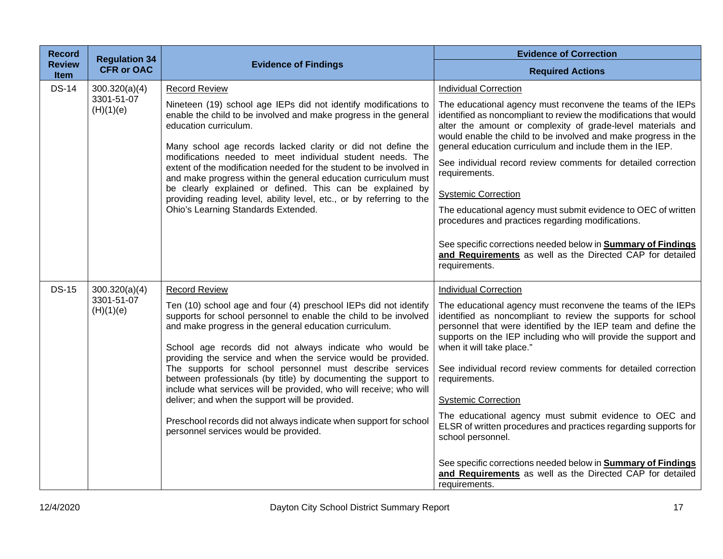| <b>Record</b>                | <b>Regulation 34</b>    |                                                                                                                                                                                                                                                                                                                                                                                                                                                                                                                                                                                                                                                                                                 | <b>Evidence of Correction</b>                                                                                                                                                                                                                                                                                                                                                                                                                                                                                                                                                                                                                                                                                             |
|------------------------------|-------------------------|-------------------------------------------------------------------------------------------------------------------------------------------------------------------------------------------------------------------------------------------------------------------------------------------------------------------------------------------------------------------------------------------------------------------------------------------------------------------------------------------------------------------------------------------------------------------------------------------------------------------------------------------------------------------------------------------------|---------------------------------------------------------------------------------------------------------------------------------------------------------------------------------------------------------------------------------------------------------------------------------------------------------------------------------------------------------------------------------------------------------------------------------------------------------------------------------------------------------------------------------------------------------------------------------------------------------------------------------------------------------------------------------------------------------------------------|
| <b>Review</b><br><b>Item</b> | <b>CFR or OAC</b>       | <b>Evidence of Findings</b>                                                                                                                                                                                                                                                                                                                                                                                                                                                                                                                                                                                                                                                                     | <b>Required Actions</b>                                                                                                                                                                                                                                                                                                                                                                                                                                                                                                                                                                                                                                                                                                   |
| <b>DS-14</b>                 | 300.320(a)(4)           | <b>Record Review</b>                                                                                                                                                                                                                                                                                                                                                                                                                                                                                                                                                                                                                                                                            | <b>Individual Correction</b>                                                                                                                                                                                                                                                                                                                                                                                                                                                                                                                                                                                                                                                                                              |
|                              | 3301-51-07<br>(H)(1)(e) | Nineteen (19) school age IEPs did not identify modifications to<br>enable the child to be involved and make progress in the general<br>education curriculum.<br>Many school age records lacked clarity or did not define the<br>modifications needed to meet individual student needs. The<br>extent of the modification needed for the student to be involved in<br>and make progress within the general education curriculum must<br>be clearly explained or defined. This can be explained by<br>providing reading level, ability level, etc., or by referring to the<br>Ohio's Learning Standards Extended.                                                                                 | The educational agency must reconvene the teams of the IEPs<br>identified as noncompliant to review the modifications that would<br>alter the amount or complexity of grade-level materials and<br>would enable the child to be involved and make progress in the<br>general education curriculum and include them in the IEP.<br>See individual record review comments for detailed correction<br>requirements.<br><b>Systemic Correction</b><br>The educational agency must submit evidence to OEC of written<br>procedures and practices regarding modifications.<br>See specific corrections needed below in <b>Summary of Findings</b><br>and Requirements as well as the Directed CAP for detailed<br>requirements. |
| <b>DS-15</b>                 | 300.320(a)(4)           | <b>Record Review</b>                                                                                                                                                                                                                                                                                                                                                                                                                                                                                                                                                                                                                                                                            | <b>Individual Correction</b>                                                                                                                                                                                                                                                                                                                                                                                                                                                                                                                                                                                                                                                                                              |
|                              | 3301-51-07<br>(H)(1)(e) | Ten (10) school age and four (4) preschool IEPs did not identify<br>supports for school personnel to enable the child to be involved<br>and make progress in the general education curriculum.<br>School age records did not always indicate who would be<br>providing the service and when the service would be provided.<br>The supports for school personnel must describe services<br>between professionals (by title) by documenting the support to<br>include what services will be provided, who will receive; who will<br>deliver; and when the support will be provided.<br>Preschool records did not always indicate when support for school<br>personnel services would be provided. | The educational agency must reconvene the teams of the IEPs<br>identified as noncompliant to review the supports for school<br>personnel that were identified by the IEP team and define the<br>supports on the IEP including who will provide the support and<br>when it will take place."<br>See individual record review comments for detailed correction<br>requirements.<br><b>Systemic Correction</b><br>The educational agency must submit evidence to OEC and<br>ELSR of written procedures and practices regarding supports for<br>school personnel.                                                                                                                                                             |
|                              |                         |                                                                                                                                                                                                                                                                                                                                                                                                                                                                                                                                                                                                                                                                                                 | See specific corrections needed below in <b>Summary of Findings</b><br>and Requirements as well as the Directed CAP for detailed<br>requirements.                                                                                                                                                                                                                                                                                                                                                                                                                                                                                                                                                                         |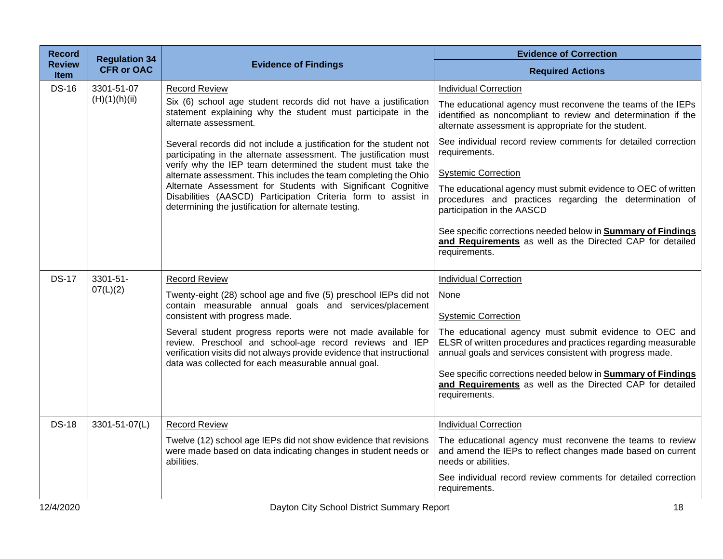| <b>Record</b>                | <b>Regulation 34</b> |                                                                                                                                                                                                                                                                                                                                                                                                                                                                       | <b>Evidence of Correction</b>                                                                                                                                                        |
|------------------------------|----------------------|-----------------------------------------------------------------------------------------------------------------------------------------------------------------------------------------------------------------------------------------------------------------------------------------------------------------------------------------------------------------------------------------------------------------------------------------------------------------------|--------------------------------------------------------------------------------------------------------------------------------------------------------------------------------------|
| <b>Review</b><br><b>Item</b> | <b>CFR or OAC</b>    | <b>Evidence of Findings</b>                                                                                                                                                                                                                                                                                                                                                                                                                                           | <b>Required Actions</b>                                                                                                                                                              |
| <b>DS-16</b>                 | 3301-51-07           | <b>Record Review</b>                                                                                                                                                                                                                                                                                                                                                                                                                                                  | <b>Individual Correction</b>                                                                                                                                                         |
|                              | (H)(1)(h)(ii)        | Six (6) school age student records did not have a justification<br>statement explaining why the student must participate in the<br>alternate assessment.                                                                                                                                                                                                                                                                                                              | The educational agency must reconvene the teams of the IEPs<br>identified as noncompliant to review and determination if the<br>alternate assessment is appropriate for the student. |
|                              |                      | Several records did not include a justification for the student not<br>participating in the alternate assessment. The justification must<br>verify why the IEP team determined the student must take the<br>alternate assessment. This includes the team completing the Ohio<br>Alternate Assessment for Students with Significant Cognitive<br>Disabilities (AASCD) Participation Criteria form to assist in<br>determining the justification for alternate testing. | See individual record review comments for detailed correction<br>requirements.                                                                                                       |
|                              |                      |                                                                                                                                                                                                                                                                                                                                                                                                                                                                       | <b>Systemic Correction</b>                                                                                                                                                           |
|                              |                      |                                                                                                                                                                                                                                                                                                                                                                                                                                                                       | The educational agency must submit evidence to OEC of written<br>procedures and practices regarding the determination of<br>participation in the AASCD                               |
|                              |                      |                                                                                                                                                                                                                                                                                                                                                                                                                                                                       | See specific corrections needed below in <b>Summary of Findings</b><br>and Requirements as well as the Directed CAP for detailed<br>requirements.                                    |
| <b>DS-17</b>                 | 3301-51-             | <b>Record Review</b>                                                                                                                                                                                                                                                                                                                                                                                                                                                  | <b>Individual Correction</b>                                                                                                                                                         |
|                              | 07(L)(2)             | Twenty-eight (28) school age and five (5) preschool IEPs did not<br>contain measurable annual goals and services/placement<br>consistent with progress made.                                                                                                                                                                                                                                                                                                          | None<br><b>Systemic Correction</b>                                                                                                                                                   |
|                              |                      | Several student progress reports were not made available for<br>review. Preschool and school-age record reviews and IEP<br>verification visits did not always provide evidence that instructional<br>data was collected for each measurable annual goal.                                                                                                                                                                                                              | The educational agency must submit evidence to OEC and<br>ELSR of written procedures and practices regarding measurable<br>annual goals and services consistent with progress made.  |
|                              |                      |                                                                                                                                                                                                                                                                                                                                                                                                                                                                       | See specific corrections needed below in <b>Summary of Findings</b><br>and Requirements as well as the Directed CAP for detailed<br>requirements.                                    |
| <b>DS-18</b>                 | 3301-51-07(L)        | <b>Record Review</b>                                                                                                                                                                                                                                                                                                                                                                                                                                                  | <b>Individual Correction</b>                                                                                                                                                         |
|                              |                      | Twelve (12) school age IEPs did not show evidence that revisions<br>were made based on data indicating changes in student needs or<br>abilities.                                                                                                                                                                                                                                                                                                                      | The educational agency must reconvene the teams to review<br>and amend the IEPs to reflect changes made based on current<br>needs or abilities.                                      |
|                              |                      |                                                                                                                                                                                                                                                                                                                                                                                                                                                                       | See individual record review comments for detailed correction<br>requirements.                                                                                                       |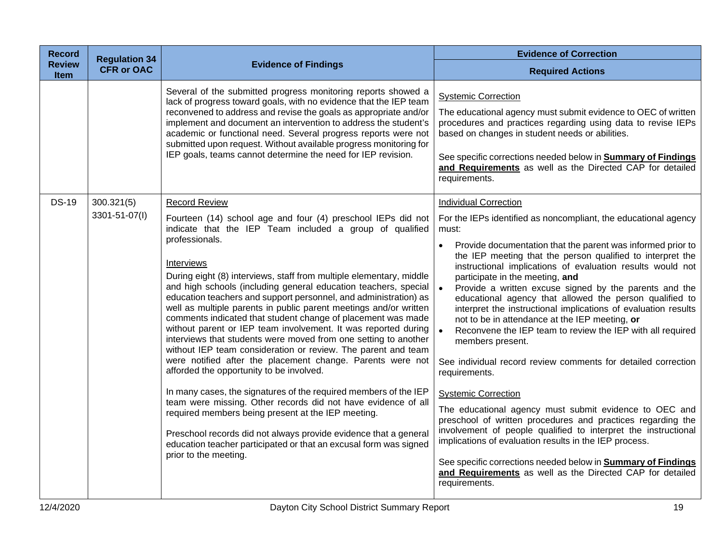| <b>Record</b>                | <b>Regulation 34</b>        |                                                                                                                                                                                                                                                                                                                                                                                                                                                                                                                                                                                                                                                                                                                                                                                                                                                                                                                                                                                                                                                                                                                                                                                                                  | <b>Evidence of Correction</b>                                                                                                                                                                                                                                                                                                                                                                                                                                                                                                                                                                                                                                                                                                                                                                                                                                                                                                                                                                                                                                                                                                                                                               |
|------------------------------|-----------------------------|------------------------------------------------------------------------------------------------------------------------------------------------------------------------------------------------------------------------------------------------------------------------------------------------------------------------------------------------------------------------------------------------------------------------------------------------------------------------------------------------------------------------------------------------------------------------------------------------------------------------------------------------------------------------------------------------------------------------------------------------------------------------------------------------------------------------------------------------------------------------------------------------------------------------------------------------------------------------------------------------------------------------------------------------------------------------------------------------------------------------------------------------------------------------------------------------------------------|---------------------------------------------------------------------------------------------------------------------------------------------------------------------------------------------------------------------------------------------------------------------------------------------------------------------------------------------------------------------------------------------------------------------------------------------------------------------------------------------------------------------------------------------------------------------------------------------------------------------------------------------------------------------------------------------------------------------------------------------------------------------------------------------------------------------------------------------------------------------------------------------------------------------------------------------------------------------------------------------------------------------------------------------------------------------------------------------------------------------------------------------------------------------------------------------|
| <b>Review</b><br><b>Item</b> | <b>CFR or OAC</b>           | <b>Evidence of Findings</b>                                                                                                                                                                                                                                                                                                                                                                                                                                                                                                                                                                                                                                                                                                                                                                                                                                                                                                                                                                                                                                                                                                                                                                                      | <b>Required Actions</b>                                                                                                                                                                                                                                                                                                                                                                                                                                                                                                                                                                                                                                                                                                                                                                                                                                                                                                                                                                                                                                                                                                                                                                     |
|                              |                             | Several of the submitted progress monitoring reports showed a<br>lack of progress toward goals, with no evidence that the IEP team<br>reconvened to address and revise the goals as appropriate and/or<br>implement and document an intervention to address the student's<br>academic or functional need. Several progress reports were not<br>submitted upon request. Without available progress monitoring for<br>IEP goals, teams cannot determine the need for IEP revision.                                                                                                                                                                                                                                                                                                                                                                                                                                                                                                                                                                                                                                                                                                                                 | <b>Systemic Correction</b><br>The educational agency must submit evidence to OEC of written<br>procedures and practices regarding using data to revise IEPs<br>based on changes in student needs or abilities.<br>See specific corrections needed below in <b>Summary of Findings</b><br>and Requirements as well as the Directed CAP for detailed<br>requirements.                                                                                                                                                                                                                                                                                                                                                                                                                                                                                                                                                                                                                                                                                                                                                                                                                         |
| <b>DS-19</b>                 | 300.321(5)<br>3301-51-07(I) | <b>Record Review</b><br>Fourteen (14) school age and four (4) preschool IEPs did not<br>indicate that the IEP Team included a group of qualified<br>professionals.<br>Interviews<br>During eight (8) interviews, staff from multiple elementary, middle<br>and high schools (including general education teachers, special<br>education teachers and support personnel, and administration) as<br>well as multiple parents in public parent meetings and/or written<br>comments indicated that student change of placement was made<br>without parent or IEP team involvement. It was reported during<br>interviews that students were moved from one setting to another<br>without IEP team consideration or review. The parent and team<br>were notified after the placement change. Parents were not<br>afforded the opportunity to be involved.<br>In many cases, the signatures of the required members of the IEP<br>team were missing. Other records did not have evidence of all<br>required members being present at the IEP meeting.<br>Preschool records did not always provide evidence that a general<br>education teacher participated or that an excusal form was signed<br>prior to the meeting. | <b>Individual Correction</b><br>For the IEPs identified as noncompliant, the educational agency<br>must:<br>Provide documentation that the parent was informed prior to<br>the IEP meeting that the person qualified to interpret the<br>instructional implications of evaluation results would not<br>participate in the meeting, and<br>Provide a written excuse signed by the parents and the<br>educational agency that allowed the person qualified to<br>interpret the instructional implications of evaluation results<br>not to be in attendance at the IEP meeting, or<br>Reconvene the IEP team to review the IEP with all required<br>members present.<br>See individual record review comments for detailed correction<br>requirements.<br><b>Systemic Correction</b><br>The educational agency must submit evidence to OEC and<br>preschool of written procedures and practices regarding the<br>involvement of people qualified to interpret the instructional<br>implications of evaluation results in the IEP process.<br>See specific corrections needed below in <b>Summary of Findings</b><br>and Requirements as well as the Directed CAP for detailed<br>requirements. |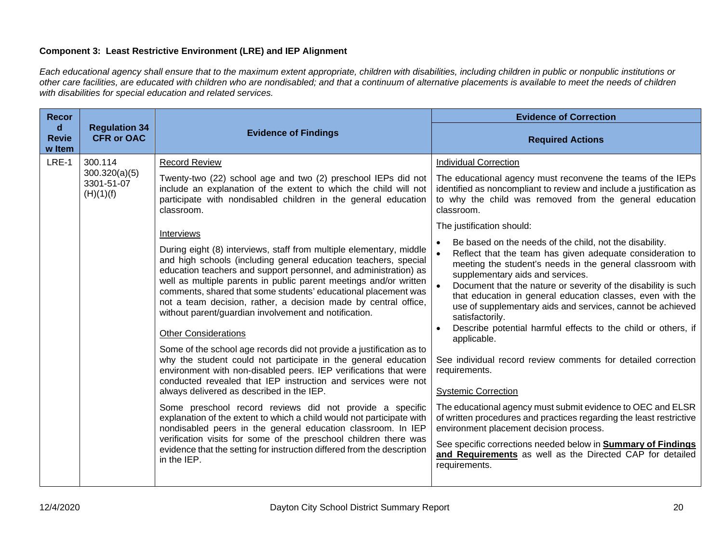# **Component 3: Least Restrictive Environment (LRE) and IEP Alignment**

*Each educational agency shall ensure that to the maximum extent appropriate, children with disabilities, including children in public or nonpublic institutions or other care facilities, are educated with children who are nondisabled; and that a continuum of alternative placements is available to meet the needs of children with disabilities for special education and related services.*

| <b>Recor</b>                |                                                     | <b>Evidence of Findings</b>                                                                                                                                                                                                                                                                                                                                                                                                                                                                                                                                                                                                                                                                                                              | <b>Evidence of Correction</b>                                                                                                                                                                                                                                                                                                                                                                                                                                                                                                                                                                            |
|-----------------------------|-----------------------------------------------------|------------------------------------------------------------------------------------------------------------------------------------------------------------------------------------------------------------------------------------------------------------------------------------------------------------------------------------------------------------------------------------------------------------------------------------------------------------------------------------------------------------------------------------------------------------------------------------------------------------------------------------------------------------------------------------------------------------------------------------------|----------------------------------------------------------------------------------------------------------------------------------------------------------------------------------------------------------------------------------------------------------------------------------------------------------------------------------------------------------------------------------------------------------------------------------------------------------------------------------------------------------------------------------------------------------------------------------------------------------|
| d<br><b>Revie</b><br>w Item | <b>Regulation 34</b><br><b>CFR or OAC</b>           |                                                                                                                                                                                                                                                                                                                                                                                                                                                                                                                                                                                                                                                                                                                                          | <b>Required Actions</b>                                                                                                                                                                                                                                                                                                                                                                                                                                                                                                                                                                                  |
| $LRE-1$                     | 300.114<br>300.320(a)(5)<br>3301-51-07<br>(H)(1)(f) | <b>Record Review</b>                                                                                                                                                                                                                                                                                                                                                                                                                                                                                                                                                                                                                                                                                                                     | <b>Individual Correction</b>                                                                                                                                                                                                                                                                                                                                                                                                                                                                                                                                                                             |
|                             |                                                     | Twenty-two (22) school age and two (2) preschool IEPs did not<br>include an explanation of the extent to which the child will not<br>participate with nondisabled children in the general education<br>classroom.                                                                                                                                                                                                                                                                                                                                                                                                                                                                                                                        | The educational agency must reconvene the teams of the IEPs<br>identified as noncompliant to review and include a justification as<br>to why the child was removed from the general education<br>classroom.                                                                                                                                                                                                                                                                                                                                                                                              |
|                             |                                                     |                                                                                                                                                                                                                                                                                                                                                                                                                                                                                                                                                                                                                                                                                                                                          | The justification should:                                                                                                                                                                                                                                                                                                                                                                                                                                                                                                                                                                                |
|                             |                                                     | Interviews<br>During eight (8) interviews, staff from multiple elementary, middle<br>and high schools (including general education teachers, special<br>education teachers and support personnel, and administration) as<br>well as multiple parents in public parent meetings and/or written<br>comments, shared that some students' educational placement was<br>not a team decision, rather, a decision made by central office,<br>without parent/guardian involvement and notification.<br><b>Other Considerations</b><br>Some of the school age records did not provide a justification as to<br>why the student could not participate in the general education<br>environment with non-disabled peers. IEP verifications that were | Be based on the needs of the child, not the disability.<br>Reflect that the team has given adequate consideration to<br>meeting the student's needs in the general classroom with<br>supplementary aids and services.<br>Document that the nature or severity of the disability is such<br>that education in general education classes, even with the<br>use of supplementary aids and services, cannot be achieved<br>satisfactorily.<br>Describe potential harmful effects to the child or others, if<br>applicable.<br>See individual record review comments for detailed correction<br>requirements. |
|                             |                                                     | conducted revealed that IEP instruction and services were not<br>always delivered as described in the IEP.                                                                                                                                                                                                                                                                                                                                                                                                                                                                                                                                                                                                                               | <b>Systemic Correction</b>                                                                                                                                                                                                                                                                                                                                                                                                                                                                                                                                                                               |
|                             |                                                     | Some preschool record reviews did not provide a specific<br>explanation of the extent to which a child would not participate with<br>nondisabled peers in the general education classroom. In IEP<br>verification visits for some of the preschool children there was<br>evidence that the setting for instruction differed from the description<br>in the IEP.                                                                                                                                                                                                                                                                                                                                                                          | The educational agency must submit evidence to OEC and ELSR<br>of written procedures and practices regarding the least restrictive<br>environment placement decision process.                                                                                                                                                                                                                                                                                                                                                                                                                            |
|                             |                                                     |                                                                                                                                                                                                                                                                                                                                                                                                                                                                                                                                                                                                                                                                                                                                          | See specific corrections needed below in <b>Summary of Findings</b><br>and Requirements as well as the Directed CAP for detailed<br>requirements.                                                                                                                                                                                                                                                                                                                                                                                                                                                        |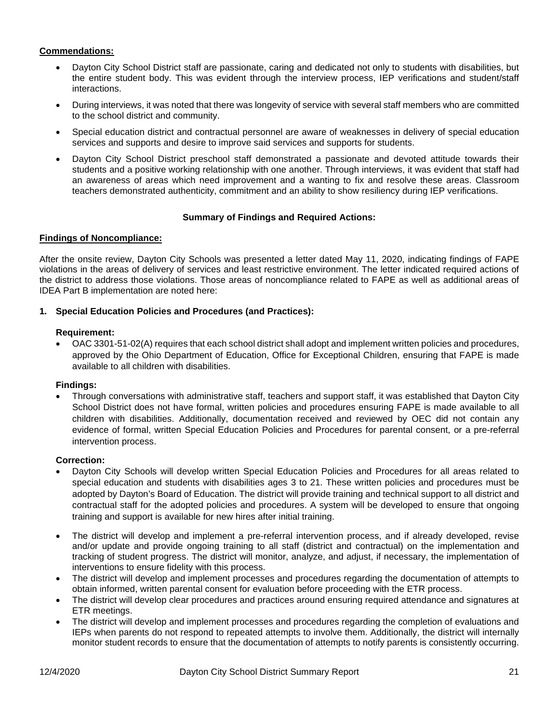# **Commendations:**

- Dayton City School District staff are passionate, caring and dedicated not only to students with disabilities, but the entire student body. This was evident through the interview process, IEP verifications and student/staff interactions.
- During interviews, it was noted that there was longevity of service with several staff members who are committed to the school district and community.
- Special education district and contractual personnel are aware of weaknesses in delivery of special education services and supports and desire to improve said services and supports for students.
- Dayton City School District preschool staff demonstrated a passionate and devoted attitude towards their students and a positive working relationship with one another. Through interviews, it was evident that staff had an awareness of areas which need improvement and a wanting to fix and resolve these areas. Classroom teachers demonstrated authenticity, commitment and an ability to show resiliency during IEP verifications.

## **Summary of Findings and Required Actions:**

# **Findings of Noncompliance:**

After the onsite review, Dayton City Schools was presented a letter dated May 11, 2020, indicating findings of FAPE violations in the areas of delivery of services and least restrictive environment. The letter indicated required actions of the district to address those violations. Those areas of noncompliance related to FAPE as well as additional areas of IDEA Part B implementation are noted here:

## **1. Special Education Policies and Procedures (and Practices):**

### **Requirement:**

• OAC 3301-51-02(A) requires that each school district shall adopt and implement written policies and procedures, approved by the Ohio Department of Education, Office for Exceptional Children, ensuring that FAPE is made available to all children with disabilities.

### **Findings:**

• Through conversations with administrative staff, teachers and support staff, it was established that Dayton City School District does not have formal, written policies and procedures ensuring FAPE is made available to all children with disabilities. Additionally, documentation received and reviewed by OEC did not contain any evidence of formal, written Special Education Policies and Procedures for parental consent, or a pre-referral intervention process.

### **Correction:**

- Dayton City Schools will develop written Special Education Policies and Procedures for all areas related to special education and students with disabilities ages 3 to 21. These written policies and procedures must be adopted by Dayton's Board of Education. The district will provide training and technical support to all district and contractual staff for the adopted policies and procedures. A system will be developed to ensure that ongoing training and support is available for new hires after initial training.
- The district will develop and implement a pre-referral intervention process, and if already developed, revise and/or update and provide ongoing training to all staff (district and contractual) on the implementation and tracking of student progress. The district will monitor, analyze, and adjust, if necessary, the implementation of interventions to ensure fidelity with this process.
- The district will develop and implement processes and procedures regarding the documentation of attempts to obtain informed, written parental consent for evaluation before proceeding with the ETR process.
- The district will develop clear procedures and practices around ensuring required attendance and signatures at ETR meetings.
- The district will develop and implement processes and procedures regarding the completion of evaluations and IEPs when parents do not respond to repeated attempts to involve them. Additionally, the district will internally monitor student records to ensure that the documentation of attempts to notify parents is consistently occurring.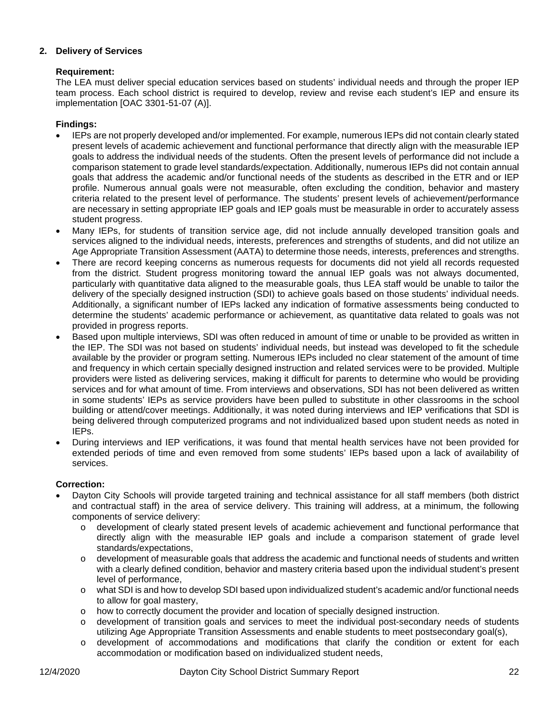# **2. Delivery of Services**

# **Requirement:**

The LEA must deliver special education services based on students' individual needs and through the proper IEP team process. Each school district is required to develop, review and revise each student's IEP and ensure its implementation [OAC 3301-51-07 (A)].

# **Findings:**

- IEPs are not properly developed and/or implemented. For example, numerous IEPs did not contain clearly stated present levels of academic achievement and functional performance that directly align with the measurable IEP goals to address the individual needs of the students. Often the present levels of performance did not include a comparison statement to grade level standards/expectation. Additionally, numerous IEPs did not contain annual goals that address the academic and/or functional needs of the students as described in the ETR and or IEP profile. Numerous annual goals were not measurable, often excluding the condition, behavior and mastery criteria related to the present level of performance. The students' present levels of achievement/performance are necessary in setting appropriate IEP goals and IEP goals must be measurable in order to accurately assess student progress.
- Many IEPs, for students of transition service age, did not include annually developed transition goals and services aligned to the individual needs, interests, preferences and strengths of students, and did not utilize an Age Appropriate Transition Assessment (AATA) to determine those needs, interests, preferences and strengths.
- There are record keeping concerns as numerous requests for documents did not yield all records requested from the district. Student progress monitoring toward the annual IEP goals was not always documented, particularly with quantitative data aligned to the measurable goals, thus LEA staff would be unable to tailor the delivery of the specially designed instruction (SDI) to achieve goals based on those students' individual needs. Additionally, a significant number of IEPs lacked any indication of formative assessments being conducted to determine the students' academic performance or achievement, as quantitative data related to goals was not provided in progress reports.
- Based upon multiple interviews, SDI was often reduced in amount of time or unable to be provided as written in the IEP. The SDI was not based on students' individual needs, but instead was developed to fit the schedule available by the provider or program setting. Numerous IEPs included no clear statement of the amount of time and frequency in which certain specially designed instruction and related services were to be provided. Multiple providers were listed as delivering services, making it difficult for parents to determine who would be providing services and for what amount of time. From interviews and observations, SDI has not been delivered as written in some students' IEPs as service providers have been pulled to substitute in other classrooms in the school building or attend/cover meetings. Additionally, it was noted during interviews and IEP verifications that SDI is being delivered through computerized programs and not individualized based upon student needs as noted in IEPs.
- During interviews and IEP verifications, it was found that mental health services have not been provided for extended periods of time and even removed from some students' IEPs based upon a lack of availability of services.

# **Correction:**

- Dayton City Schools will provide targeted training and technical assistance for all staff members (both district and contractual staff) in the area of service delivery. This training will address, at a minimum, the following components of service delivery:
	- o development of clearly stated present levels of academic achievement and functional performance that directly align with the measurable IEP goals and include a comparison statement of grade level standards/expectations,
	- o development of measurable goals that address the academic and functional needs of students and written with a clearly defined condition, behavior and mastery criteria based upon the individual student's present level of performance,
	- o what SDI is and how to develop SDI based upon individualized student's academic and/or functional needs to allow for goal mastery,
	- o how to correctly document the provider and location of specially designed instruction.
	- development of transition goals and services to meet the individual post-secondary needs of students utilizing Age Appropriate Transition Assessments and enable students to meet postsecondary goal(s),
	- o development of accommodations and modifications that clarify the condition or extent for each accommodation or modification based on individualized student needs,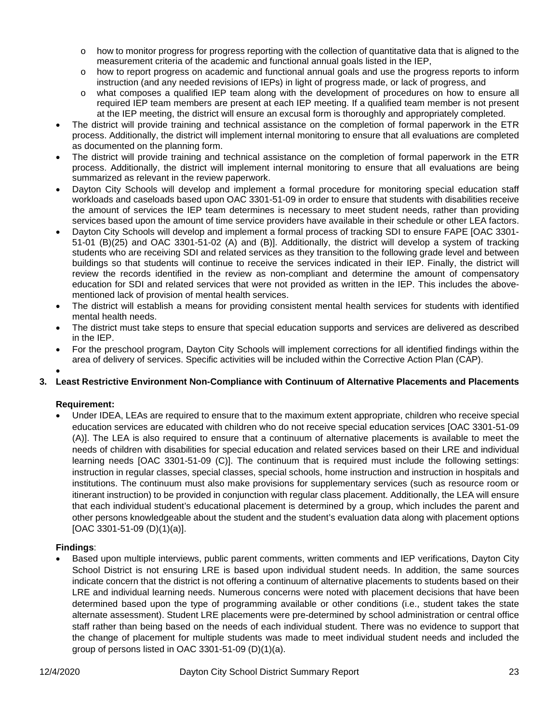- $\circ$  how to monitor progress for progress reporting with the collection of quantitative data that is aligned to the measurement criteria of the academic and functional annual goals listed in the IEP,
- o how to report progress on academic and functional annual goals and use the progress reports to inform instruction (and any needed revisions of IEPs) in light of progress made, or lack of progress, and
- o what composes a qualified IEP team along with the development of procedures on how to ensure all required IEP team members are present at each IEP meeting. If a qualified team member is not present at the IEP meeting, the district will ensure an excusal form is thoroughly and appropriately completed.
- The district will provide training and technical assistance on the completion of formal paperwork in the ETR process. Additionally, the district will implement internal monitoring to ensure that all evaluations are completed as documented on the planning form.
- The district will provide training and technical assistance on the completion of formal paperwork in the ETR process. Additionally, the district will implement internal monitoring to ensure that all evaluations are being summarized as relevant in the review paperwork.
- Dayton City Schools will develop and implement a formal procedure for monitoring special education staff workloads and caseloads based upon OAC 3301-51-09 in order to ensure that students with disabilities receive the amount of services the IEP team determines is necessary to meet student needs, rather than providing services based upon the amount of time service providers have available in their schedule or other LEA factors.
- Dayton City Schools will develop and implement a formal process of tracking SDI to ensure FAPE [OAC 3301- 51-01 (B)(25) and OAC 3301-51-02 (A) and (B)]. Additionally, the district will develop a system of tracking students who are receiving SDI and related services as they transition to the following grade level and between buildings so that students will continue to receive the services indicated in their IEP. Finally, the district will review the records identified in the review as non-compliant and determine the amount of compensatory education for SDI and related services that were not provided as written in the IEP. This includes the abovementioned lack of provision of mental health services.
- The district will establish a means for providing consistent mental health services for students with identified mental health needs.
- The district must take steps to ensure that special education supports and services are delivered as described in the IEP.
- For the preschool program, Dayton City Schools will implement corrections for all identified findings within the area of delivery of services. Specific activities will be included within the Corrective Action Plan (CAP).

#### • **3. Least Restrictive Environment Non-Compliance with Continuum of Alternative Placements and Placements**

# **Requirement:**

• Under IDEA, LEAs are required to ensure that to the maximum extent appropriate, children who receive special education services are educated with children who do not receive special education services [OAC 3301-51-09 (A)]. The LEA is also required to ensure that a continuum of alternative placements is available to meet the needs of children with disabilities for special education and related services based on their LRE and individual learning needs [OAC 3301-51-09 (C)]. The continuum that is required must include the following settings: instruction in regular classes, special classes, special schools, home instruction and instruction in hospitals and institutions. The continuum must also make provisions for supplementary services (such as resource room or itinerant instruction) to be provided in conjunction with regular class placement. Additionally, the LEA will ensure that each individual student's educational placement is determined by a group, which includes the parent and other persons knowledgeable about the student and the student's evaluation data along with placement options [OAC 3301-51-09 (D)(1)(a)].

# **Findings**:

• Based upon multiple interviews, public parent comments, written comments and IEP verifications, Dayton City School District is not ensuring LRE is based upon individual student needs. In addition, the same sources indicate concern that the district is not offering a continuum of alternative placements to students based on their LRE and individual learning needs. Numerous concerns were noted with placement decisions that have been determined based upon the type of programming available or other conditions (i.e., student takes the state alternate assessment). Student LRE placements were pre-determined by school administration or central office staff rather than being based on the needs of each individual student. There was no evidence to support that the change of placement for multiple students was made to meet individual student needs and included the group of persons listed in OAC 3301-51-09 (D)(1)(a).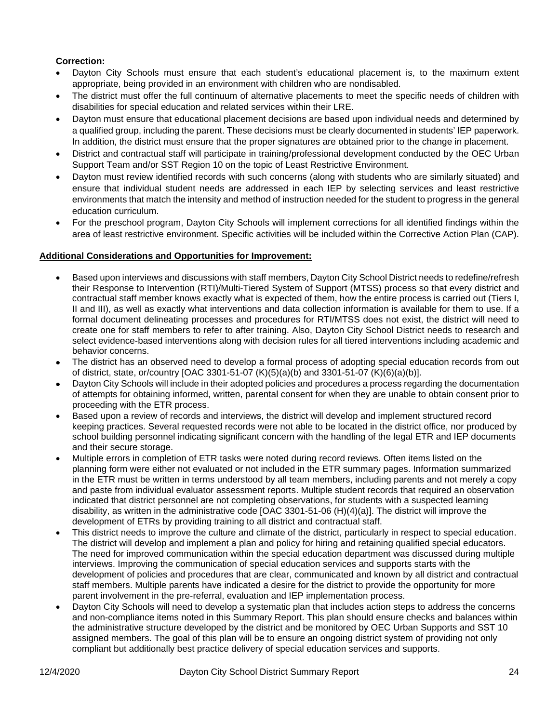# **Correction:**

- Dayton City Schools must ensure that each student's educational placement is, to the maximum extent appropriate, being provided in an environment with children who are nondisabled.
- The district must offer the full continuum of alternative placements to meet the specific needs of children with disabilities for special education and related services within their LRE.
- Dayton must ensure that educational placement decisions are based upon individual needs and determined by a qualified group, including the parent. These decisions must be clearly documented in students' IEP paperwork. In addition, the district must ensure that the proper signatures are obtained prior to the change in placement.
- District and contractual staff will participate in training/professional development conducted by the OEC Urban Support Team and/or SST Region 10 on the topic of Least Restrictive Environment.
- Dayton must review identified records with such concerns (along with students who are similarly situated) and ensure that individual student needs are addressed in each IEP by selecting services and least restrictive environments that match the intensity and method of instruction needed for the student to progress in the general education curriculum.
- For the preschool program, Dayton City Schools will implement corrections for all identified findings within the area of least restrictive environment. Specific activities will be included within the Corrective Action Plan (CAP).

## **Additional Considerations and Opportunities for Improvement:**

- Based upon interviews and discussions with staff members, Dayton City School District needs to redefine/refresh their Response to Intervention (RTI)/Multi-Tiered System of Support (MTSS) process so that every district and contractual staff member knows exactly what is expected of them, how the entire process is carried out (Tiers I, II and III), as well as exactly what interventions and data collection information is available for them to use. If a formal document delineating processes and procedures for RTI/MTSS does not exist, the district will need to create one for staff members to refer to after training. Also, Dayton City School District needs to research and select evidence-based interventions along with decision rules for all tiered interventions including academic and behavior concerns.
- The district has an observed need to develop a formal process of adopting special education records from out of district, state, or/country [OAC 3301-51-07 (K)(5)(a)(b) and 3301-51-07 (K)(6)(a)(b)].
- Dayton City Schools will include in their adopted policies and procedures a process regarding the documentation of attempts for obtaining informed, written, parental consent for when they are unable to obtain consent prior to proceeding with the ETR process.
- Based upon a review of records and interviews, the district will develop and implement structured record keeping practices. Several requested records were not able to be located in the district office, nor produced by school building personnel indicating significant concern with the handling of the legal ETR and IEP documents and their secure storage.
- Multiple errors in completion of ETR tasks were noted during record reviews. Often items listed on the planning form were either not evaluated or not included in the ETR summary pages. Information summarized in the ETR must be written in terms understood by all team members, including parents and not merely a copy and paste from individual evaluator assessment reports. Multiple student records that required an observation indicated that district personnel are not completing observations, for students with a suspected learning disability, as written in the administrative code [OAC 3301-51-06 (H)(4)(a)]. The district will improve the development of ETRs by providing training to all district and contractual staff.
- This district needs to improve the culture and climate of the district, particularly in respect to special education. The district will develop and implement a plan and policy for hiring and retaining qualified special educators. The need for improved communication within the special education department was discussed during multiple interviews. Improving the communication of special education services and supports starts with the development of policies and procedures that are clear, communicated and known by all district and contractual staff members. Multiple parents have indicated a desire for the district to provide the opportunity for more parent involvement in the pre-referral, evaluation and IEP implementation process.
- Dayton City Schools will need to develop a systematic plan that includes action steps to address the concerns and non-compliance items noted in this Summary Report. This plan should ensure checks and balances within the administrative structure developed by the district and be monitored by OEC Urban Supports and SST 10 assigned members. The goal of this plan will be to ensure an ongoing district system of providing not only compliant but additionally best practice delivery of special education services and supports.